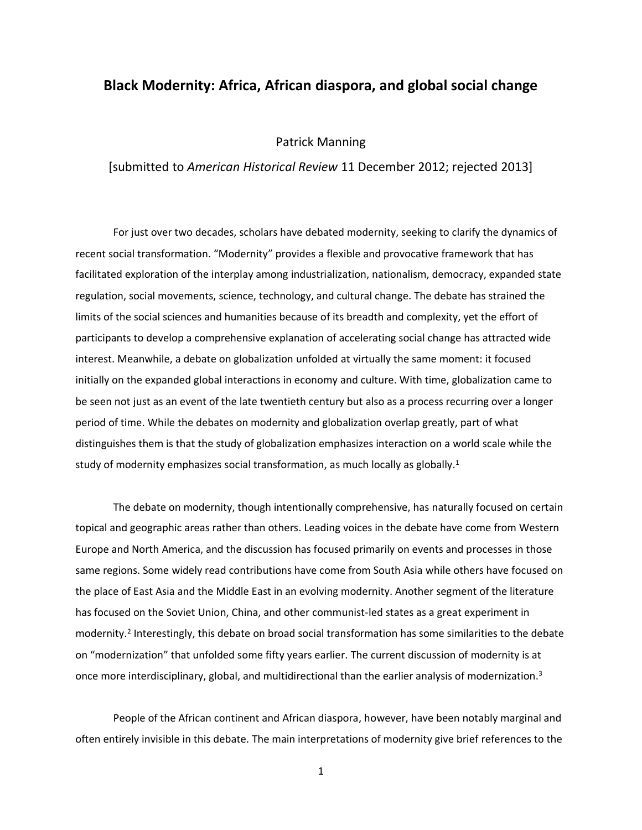## **Black Modernity: Africa, African diaspora, and global social change**

## Patrick Manning

[submitted to *American Historical Review* 11 December 2012; rejected 2013]

For just over two decades, scholars have debated modernity, seeking to clarify the dynamics of recent social transformation. "Modernity" provides a flexible and provocative framework that has facilitated exploration of the interplay among industrialization, nationalism, democracy, expanded state regulation, social movements, science, technology, and cultural change. The debate has strained the limits of the social sciences and humanities because of its breadth and complexity, yet the effort of participants to develop a comprehensive explanation of accelerating social change has attracted wide interest. Meanwhile, a debate on globalization unfolded at virtually the same moment: it focused initially on the expanded global interactions in economy and culture. With time, globalization came to be seen not just as an event of the late twentieth century but also as a process recurring over a longer period of time. While the debates on modernity and globalization overlap greatly, part of what distinguishes them is that the study of globalization emphasizes interaction on a world scale while the study of modernity emphasizes social transformation, as much locally as globally. 1

The debate on modernity, though intentionally comprehensive, has naturally focused on certain topical and geographic areas rather than others. Leading voices in the debate have come from Western Europe and North America, and the discussion has focused primarily on events and processes in those same regions. Some widely read contributions have come from South Asia while others have focused on the place of East Asia and the Middle East in an evolving modernity. Another segment of the literature has focused on the Soviet Union, China, and other communist-led states as a great experiment in modernity.<sup>2</sup> Interestingly, this debate on broad social transformation has some similarities to the debate on "modernization" that unfolded some fifty years earlier. The current discussion of modernity is at once more interdisciplinary, global, and multidirectional than the earlier analysis of modernization.<sup>3</sup>

People of the African continent and African diaspora, however, have been notably marginal and often entirely invisible in this debate. The main interpretations of modernity give brief references to the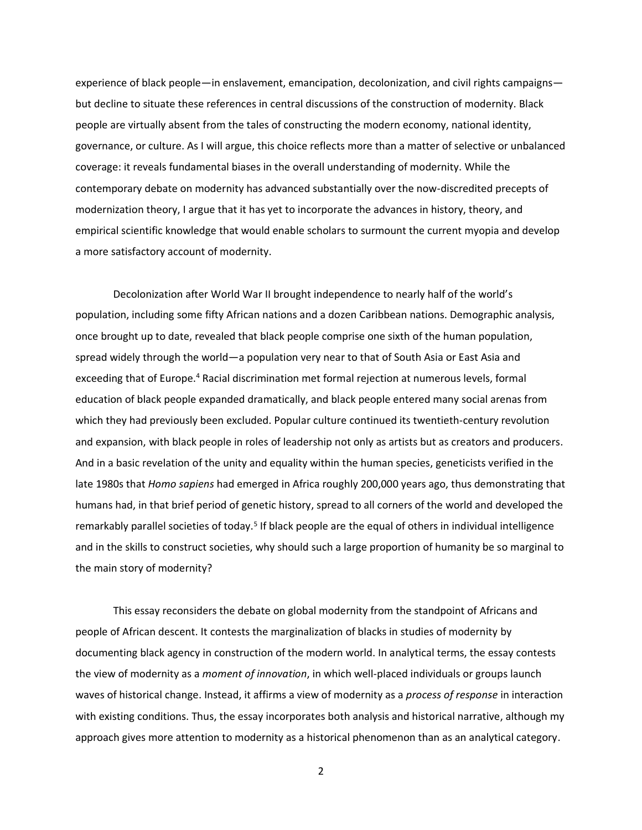experience of black people—in enslavement, emancipation, decolonization, and civil rights campaigns but decline to situate these references in central discussions of the construction of modernity. Black people are virtually absent from the tales of constructing the modern economy, national identity, governance, or culture. As I will argue, this choice reflects more than a matter of selective or unbalanced coverage: it reveals fundamental biases in the overall understanding of modernity. While the contemporary debate on modernity has advanced substantially over the now-discredited precepts of modernization theory, I argue that it has yet to incorporate the advances in history, theory, and empirical scientific knowledge that would enable scholars to surmount the current myopia and develop a more satisfactory account of modernity.

Decolonization after World War II brought independence to nearly half of the world's population, including some fifty African nations and a dozen Caribbean nations. Demographic analysis, once brought up to date, revealed that black people comprise one sixth of the human population, spread widely through the world—a population very near to that of South Asia or East Asia and exceeding that of Europe.<sup>4</sup> Racial discrimination met formal rejection at numerous levels, formal education of black people expanded dramatically, and black people entered many social arenas from which they had previously been excluded. Popular culture continued its twentieth-century revolution and expansion, with black people in roles of leadership not only as artists but as creators and producers. And in a basic revelation of the unity and equality within the human species, geneticists verified in the late 1980s that *Homo sapiens* had emerged in Africa roughly 200,000 years ago, thus demonstrating that humans had, in that brief period of genetic history, spread to all corners of the world and developed the remarkably parallel societies of today.<sup>5</sup> If black people are the equal of others in individual intelligence and in the skills to construct societies, why should such a large proportion of humanity be so marginal to the main story of modernity?

This essay reconsiders the debate on global modernity from the standpoint of Africans and people of African descent. It contests the marginalization of blacks in studies of modernity by documenting black agency in construction of the modern world. In analytical terms, the essay contests the view of modernity as a *moment of innovation*, in which well-placed individuals or groups launch waves of historical change. Instead, it affirms a view of modernity as a *process of response* in interaction with existing conditions. Thus, the essay incorporates both analysis and historical narrative, although my approach gives more attention to modernity as a historical phenomenon than as an analytical category.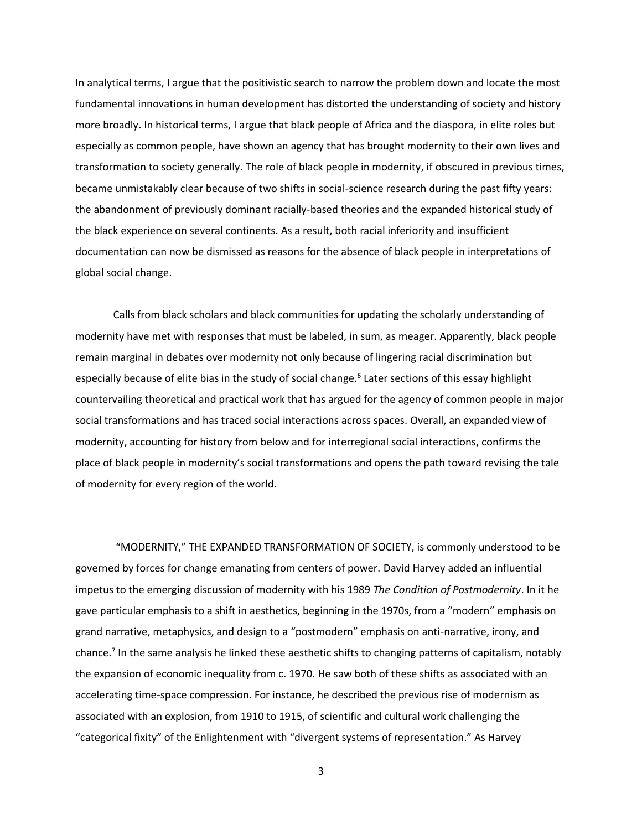In analytical terms, I argue that the positivistic search to narrow the problem down and locate the most fundamental innovations in human development has distorted the understanding of society and history more broadly. In historical terms, I argue that black people of Africa and the diaspora, in elite roles but especially as common people, have shown an agency that has brought modernity to their own lives and transformation to society generally. The role of black people in modernity, if obscured in previous times, became unmistakably clear because of two shifts in social-science research during the past fifty years: the abandonment of previously dominant racially-based theories and the expanded historical study of the black experience on several continents. As a result, both racial inferiority and insufficient documentation can now be dismissed as reasons for the absence of black people in interpretations of global social change.

Calls from black scholars and black communities for updating the scholarly understanding of modernity have met with responses that must be labeled, in sum, as meager. Apparently, black people remain marginal in debates over modernity not only because of lingering racial discrimination but especially because of elite bias in the study of social change. 6 Later sections of this essay highlight countervailing theoretical and practical work that has argued for the agency of common people in major social transformations and has traced social interactions across spaces. Overall, an expanded view of modernity, accounting for history from below and for interregional social interactions, confirms the place of black people in modernity's social transformations and opens the path toward revising the tale of modernity for every region of the world.

"MODERNITY," THE EXPANDED TRANSFORMATION OF SOCIETY, is commonly understood to be governed by forces for change emanating from centers of power. David Harvey added an influential impetus to the emerging discussion of modernity with his 1989 *The Condition of Postmodernity*. In it he gave particular emphasis to a shift in aesthetics, beginning in the 1970s, from a "modern" emphasis on grand narrative, metaphysics, and design to a "postmodern" emphasis on anti-narrative, irony, and chance.<sup>7</sup> In the same analysis he linked these aesthetic shifts to changing patterns of capitalism, notably the expansion of economic inequality from c. 1970. He saw both of these shifts as associated with an accelerating time-space compression. For instance, he described the previous rise of modernism as associated with an explosion, from 1910 to 1915, of scientific and cultural work challenging the "categorical fixity" of the Enlightenment with "divergent systems of representation." As Harvey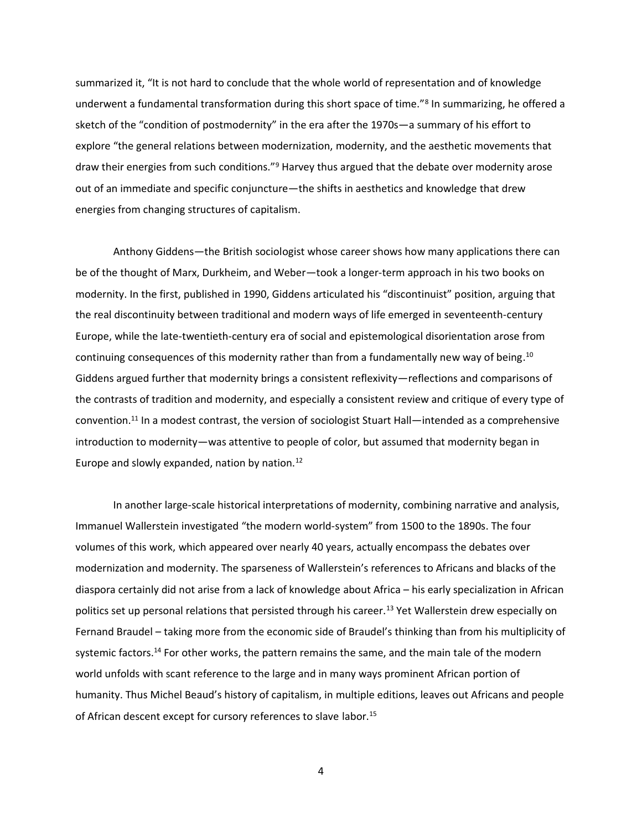summarized it, "It is not hard to conclude that the whole world of representation and of knowledge underwent a fundamental transformation during this short space of time."<sup>8</sup> In summarizing, he offered a sketch of the "condition of postmodernity" in the era after the 1970s—a summary of his effort to explore "the general relations between modernization, modernity, and the aesthetic movements that draw their energies from such conditions."<sup>9</sup> Harvey thus argued that the debate over modernity arose out of an immediate and specific conjuncture—the shifts in aesthetics and knowledge that drew energies from changing structures of capitalism.

Anthony Giddens—the British sociologist whose career shows how many applications there can be of the thought of Marx, Durkheim, and Weber—took a longer-term approach in his two books on modernity. In the first, published in 1990, Giddens articulated his "discontinuist" position, arguing that the real discontinuity between traditional and modern ways of life emerged in seventeenth-century Europe, while the late-twentieth-century era of social and epistemological disorientation arose from continuing consequences of this modernity rather than from a fundamentally new way of being.<sup>10</sup> Giddens argued further that modernity brings a consistent reflexivity—reflections and comparisons of the contrasts of tradition and modernity, and especially a consistent review and critique of every type of convention.<sup>11</sup> In a modest contrast, the version of sociologist Stuart Hall—intended as a comprehensive introduction to modernity—was attentive to people of color, but assumed that modernity began in Europe and slowly expanded, nation by nation.<sup>12</sup>

In another large-scale historical interpretations of modernity, combining narrative and analysis, Immanuel Wallerstein investigated "the modern world-system" from 1500 to the 1890s. The four volumes of this work, which appeared over nearly 40 years, actually encompass the debates over modernization and modernity. The sparseness of Wallerstein's references to Africans and blacks of the diaspora certainly did not arise from a lack of knowledge about Africa – his early specialization in African politics set up personal relations that persisted through his career.<sup>13</sup> Yet Wallerstein drew especially on Fernand Braudel – taking more from the economic side of Braudel's thinking than from his multiplicity of systemic factors.<sup>14</sup> For other works, the pattern remains the same, and the main tale of the modern world unfolds with scant reference to the large and in many ways prominent African portion of humanity. Thus Michel Beaud's history of capitalism, in multiple editions, leaves out Africans and people of African descent except for cursory references to slave labor.15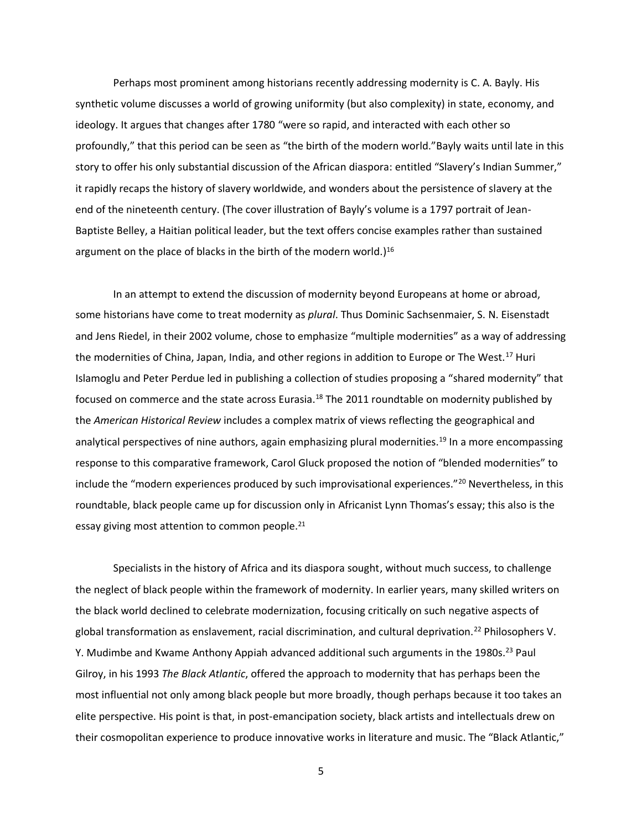Perhaps most prominent among historians recently addressing modernity is C. A. Bayly. His synthetic volume discusses a world of growing uniformity (but also complexity) in state, economy, and ideology. It argues that changes after 1780 "were so rapid, and interacted with each other so profoundly," that this period can be seen as "the birth of the modern world."Bayly waits until late in this story to offer his only substantial discussion of the African diaspora: entitled "Slavery's Indian Summer," it rapidly recaps the history of slavery worldwide, and wonders about the persistence of slavery at the end of the nineteenth century. (The cover illustration of Bayly's volume is a 1797 portrait of Jean-Baptiste Belley, a Haitian political leader, but the text offers concise examples rather than sustained argument on the place of blacks in the birth of the modern world.)<sup>16</sup>

In an attempt to extend the discussion of modernity beyond Europeans at home or abroad, some historians have come to treat modernity as *plural*. Thus Dominic Sachsenmaier, S. N. Eisenstadt and Jens Riedel, in their 2002 volume, chose to emphasize "multiple modernities" as a way of addressing the modernities of China, Japan, India, and other regions in addition to Europe or The West.<sup>17</sup> Huri Islamoglu and Peter Perdue led in publishing a collection of studies proposing a "shared modernity" that focused on commerce and the state across Eurasia.<sup>18</sup> The 2011 roundtable on modernity published by the *American Historical Review* includes a complex matrix of views reflecting the geographical and analytical perspectives of nine authors, again emphasizing plural modernities.<sup>19</sup> In a more encompassing response to this comparative framework, Carol Gluck proposed the notion of "blended modernities" to include the "modern experiences produced by such improvisational experiences."<sup>20</sup> Nevertheless, in this roundtable, black people came up for discussion only in Africanist Lynn Thomas's essay; this also is the essay giving most attention to common people.<sup>21</sup>

Specialists in the history of Africa and its diaspora sought, without much success, to challenge the neglect of black people within the framework of modernity. In earlier years, many skilled writers on the black world declined to celebrate modernization, focusing critically on such negative aspects of global transformation as enslavement, racial discrimination, and cultural deprivation.<sup>22</sup> Philosophers V. Y. Mudimbe and Kwame Anthony Appiah advanced additional such arguments in the 1980s.<sup>23</sup> Paul Gilroy, in his 1993 *The Black Atlantic*, offered the approach to modernity that has perhaps been the most influential not only among black people but more broadly, though perhaps because it too takes an elite perspective. His point is that, in post-emancipation society, black artists and intellectuals drew on their cosmopolitan experience to produce innovative works in literature and music. The "Black Atlantic,"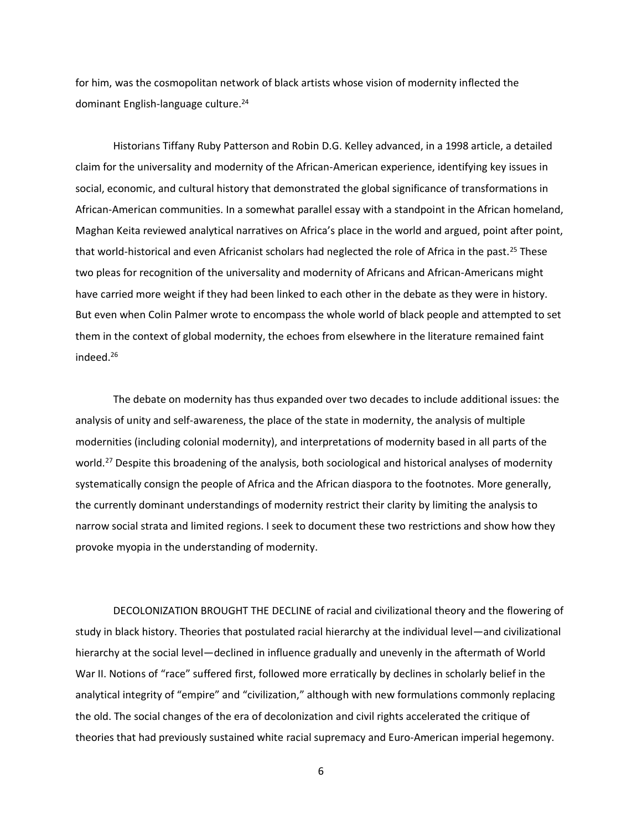for him, was the cosmopolitan network of black artists whose vision of modernity inflected the dominant English-language culture.<sup>24</sup>

Historians Tiffany Ruby Patterson and Robin D.G. Kelley advanced, in a 1998 article, a detailed claim for the universality and modernity of the African-American experience, identifying key issues in social, economic, and cultural history that demonstrated the global significance of transformations in African-American communities. In a somewhat parallel essay with a standpoint in the African homeland, Maghan Keita reviewed analytical narratives on Africa's place in the world and argued, point after point, that world-historical and even Africanist scholars had neglected the role of Africa in the past.<sup>25</sup> These two pleas for recognition of the universality and modernity of Africans and African-Americans might have carried more weight if they had been linked to each other in the debate as they were in history. But even when Colin Palmer wrote to encompass the whole world of black people and attempted to set them in the context of global modernity, the echoes from elsewhere in the literature remained faint indeed.<sup>26</sup>

The debate on modernity has thus expanded over two decades to include additional issues: the analysis of unity and self-awareness, the place of the state in modernity, the analysis of multiple modernities (including colonial modernity), and interpretations of modernity based in all parts of the world.<sup>27</sup> Despite this broadening of the analysis, both sociological and historical analyses of modernity systematically consign the people of Africa and the African diaspora to the footnotes. More generally, the currently dominant understandings of modernity restrict their clarity by limiting the analysis to narrow social strata and limited regions. I seek to document these two restrictions and show how they provoke myopia in the understanding of modernity.

DECOLONIZATION BROUGHT THE DECLINE of racial and civilizational theory and the flowering of study in black history. Theories that postulated racial hierarchy at the individual level—and civilizational hierarchy at the social level—declined in influence gradually and unevenly in the aftermath of World War II. Notions of "race" suffered first, followed more erratically by declines in scholarly belief in the analytical integrity of "empire" and "civilization," although with new formulations commonly replacing the old. The social changes of the era of decolonization and civil rights accelerated the critique of theories that had previously sustained white racial supremacy and Euro-American imperial hegemony.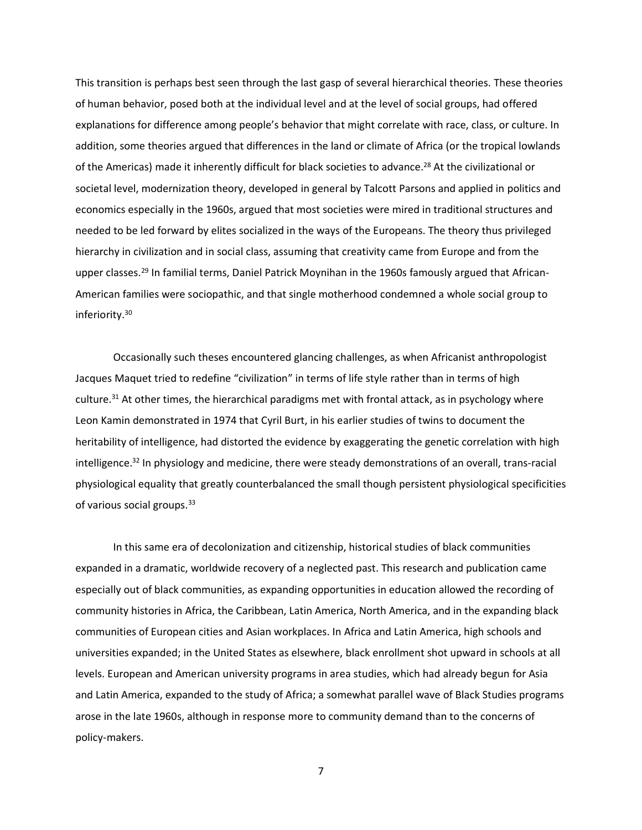This transition is perhaps best seen through the last gasp of several hierarchical theories. These theories of human behavior, posed both at the individual level and at the level of social groups, had offered explanations for difference among people's behavior that might correlate with race, class, or culture. In addition, some theories argued that differences in the land or climate of Africa (or the tropical lowlands of the Americas) made it inherently difficult for black societies to advance.<sup>28</sup> At the civilizational or societal level, modernization theory, developed in general by Talcott Parsons and applied in politics and economics especially in the 1960s, argued that most societies were mired in traditional structures and needed to be led forward by elites socialized in the ways of the Europeans. The theory thus privileged hierarchy in civilization and in social class, assuming that creativity came from Europe and from the upper classes.<sup>29</sup> In familial terms, Daniel Patrick Moynihan in the 1960s famously argued that African-American families were sociopathic, and that single motherhood condemned a whole social group to inferiority.<sup>30</sup>

Occasionally such theses encountered glancing challenges, as when Africanist anthropologist Jacques Maquet tried to redefine "civilization" in terms of life style rather than in terms of high culture. $31$  At other times, the hierarchical paradigms met with frontal attack, as in psychology where Leon Kamin demonstrated in 1974 that Cyril Burt, in his earlier studies of twins to document the heritability of intelligence, had distorted the evidence by exaggerating the genetic correlation with high intelligence.<sup>32</sup> In physiology and medicine, there were steady demonstrations of an overall, trans-racial physiological equality that greatly counterbalanced the small though persistent physiological specificities of various social groups.<sup>33</sup>

In this same era of decolonization and citizenship, historical studies of black communities expanded in a dramatic, worldwide recovery of a neglected past. This research and publication came especially out of black communities, as expanding opportunities in education allowed the recording of community histories in Africa, the Caribbean, Latin America, North America, and in the expanding black communities of European cities and Asian workplaces. In Africa and Latin America, high schools and universities expanded; in the United States as elsewhere, black enrollment shot upward in schools at all levels. European and American university programs in area studies, which had already begun for Asia and Latin America, expanded to the study of Africa; a somewhat parallel wave of Black Studies programs arose in the late 1960s, although in response more to community demand than to the concerns of policy-makers.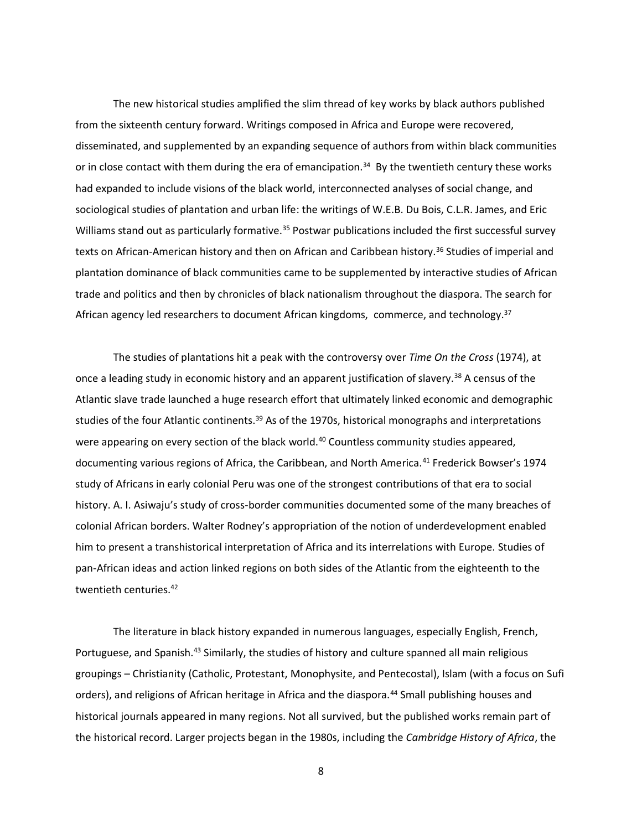The new historical studies amplified the slim thread of key works by black authors published from the sixteenth century forward. Writings composed in Africa and Europe were recovered, disseminated, and supplemented by an expanding sequence of authors from within black communities or in close contact with them during the era of emancipation.<sup>34</sup> By the twentieth century these works had expanded to include visions of the black world, interconnected analyses of social change, and sociological studies of plantation and urban life: the writings of W.E.B. Du Bois, C.L.R. James, and Eric Williams stand out as particularly formative.<sup>35</sup> Postwar publications included the first successful survey texts on African-American history and then on African and Caribbean history.<sup>36</sup> Studies of imperial and plantation dominance of black communities came to be supplemented by interactive studies of African trade and politics and then by chronicles of black nationalism throughout the diaspora. The search for African agency led researchers to document African kingdoms, commerce, and technology.<sup>37</sup>

The studies of plantations hit a peak with the controversy over *Time On the Cross* (1974), at once a leading study in economic history and an apparent justification of slavery.<sup>38</sup> A census of the Atlantic slave trade launched a huge research effort that ultimately linked economic and demographic studies of the four Atlantic continents.<sup>39</sup> As of the 1970s, historical monographs and interpretations were appearing on every section of the black world.<sup>40</sup> Countless community studies appeared, documenting various regions of Africa, the Caribbean, and North America.<sup>41</sup> Frederick Bowser's 1974 study of Africans in early colonial Peru was one of the strongest contributions of that era to social history. A. I. Asiwaju's study of cross-border communities documented some of the many breaches of colonial African borders. Walter Rodney's appropriation of the notion of underdevelopment enabled him to present a transhistorical interpretation of Africa and its interrelations with Europe. Studies of pan-African ideas and action linked regions on both sides of the Atlantic from the eighteenth to the twentieth centuries. 42

The literature in black history expanded in numerous languages, especially English, French, Portuguese, and Spanish.<sup>43</sup> Similarly, the studies of history and culture spanned all main religious groupings – Christianity (Catholic, Protestant, Monophysite, and Pentecostal), Islam (with a focus on Sufi orders), and religions of African heritage in Africa and the diaspora.<sup>44</sup> Small publishing houses and historical journals appeared in many regions. Not all survived, but the published works remain part of the historical record. Larger projects began in the 1980s, including the *Cambridge History of Africa*, the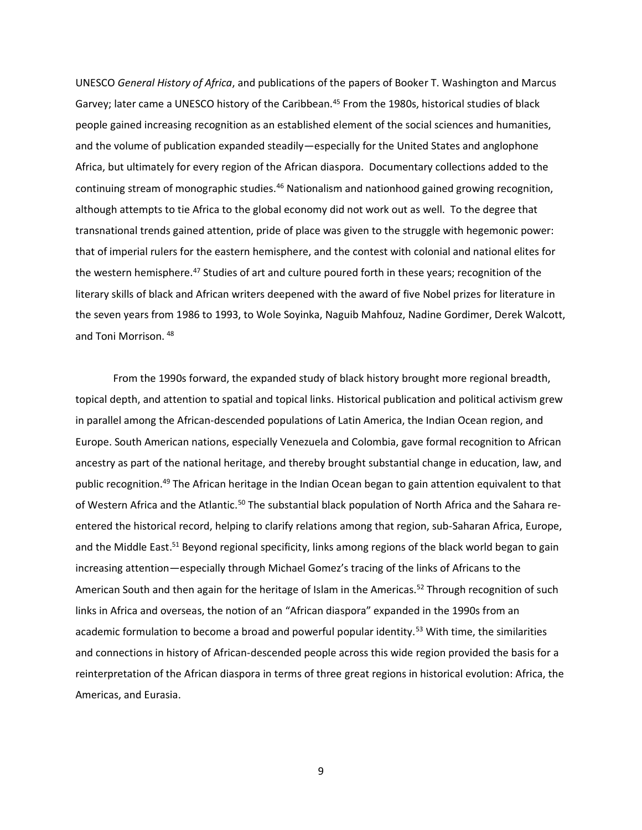UNESCO *General History of Africa*, and publications of the papers of Booker T. Washington and Marcus Garvey; later came a UNESCO history of the Caribbean.<sup>45</sup> From the 1980s, historical studies of black people gained increasing recognition as an established element of the social sciences and humanities, and the volume of publication expanded steadily—especially for the United States and anglophone Africa, but ultimately for every region of the African diaspora. Documentary collections added to the continuing stream of monographic studies.<sup>46</sup> Nationalism and nationhood gained growing recognition, although attempts to tie Africa to the global economy did not work out as well. To the degree that transnational trends gained attention, pride of place was given to the struggle with hegemonic power: that of imperial rulers for the eastern hemisphere, and the contest with colonial and national elites for the western hemisphere.<sup>47</sup> Studies of art and culture poured forth in these years; recognition of the literary skills of black and African writers deepened with the award of five Nobel prizes for literature in the seven years from 1986 to 1993, to Wole Soyinka, Naguib Mahfouz, Nadine Gordimer, Derek Walcott, and Toni Morrison. <sup>48</sup>

From the 1990s forward, the expanded study of black history brought more regional breadth, topical depth, and attention to spatial and topical links. Historical publication and political activism grew in parallel among the African-descended populations of Latin America, the Indian Ocean region, and Europe. South American nations, especially Venezuela and Colombia, gave formal recognition to African ancestry as part of the national heritage, and thereby brought substantial change in education, law, and public recognition.<sup>49</sup> The African heritage in the Indian Ocean began to gain attention equivalent to that of Western Africa and the Atlantic.<sup>50</sup> The substantial black population of North Africa and the Sahara reentered the historical record, helping to clarify relations among that region, sub-Saharan Africa, Europe, and the Middle East.<sup>51</sup> Beyond regional specificity, links among regions of the black world began to gain increasing attention—especially through Michael Gomez's tracing of the links of Africans to the American South and then again for the heritage of Islam in the Americas.<sup>52</sup> Through recognition of such links in Africa and overseas, the notion of an "African diaspora" expanded in the 1990s from an academic formulation to become a broad and powerful popular identity.<sup>53</sup> With time, the similarities and connections in history of African-descended people across this wide region provided the basis for a reinterpretation of the African diaspora in terms of three great regions in historical evolution: Africa, the Americas, and Eurasia.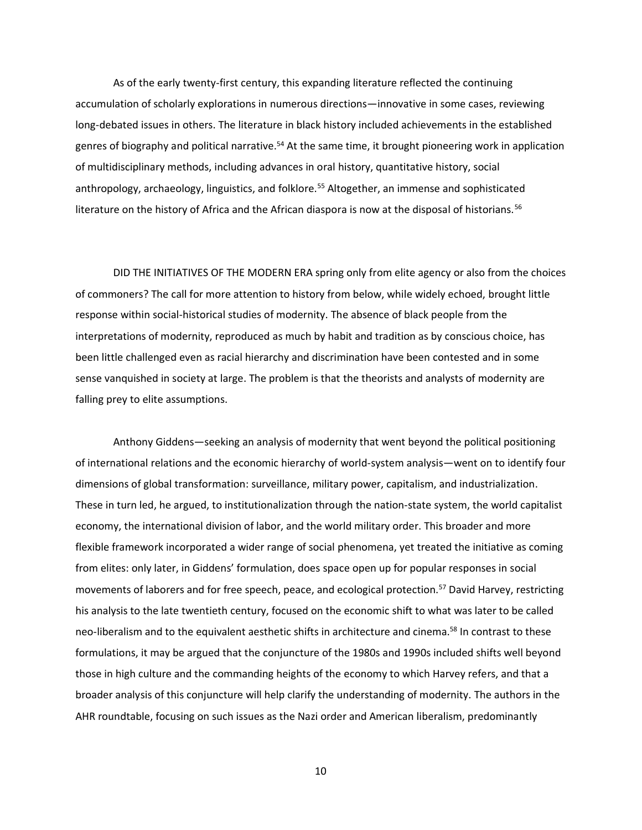As of the early twenty-first century, this expanding literature reflected the continuing accumulation of scholarly explorations in numerous directions—innovative in some cases, reviewing long-debated issues in others. The literature in black history included achievements in the established genres of biography and political narrative.<sup>54</sup> At the same time, it brought pioneering work in application of multidisciplinary methods, including advances in oral history, quantitative history, social anthropology, archaeology, linguistics, and folklore.<sup>55</sup> Altogether, an immense and sophisticated literature on the history of Africa and the African diaspora is now at the disposal of historians.<sup>56</sup>

DID THE INITIATIVES OF THE MODERN ERA spring only from elite agency or also from the choices of commoners? The call for more attention to history from below, while widely echoed, brought little response within social-historical studies of modernity. The absence of black people from the interpretations of modernity, reproduced as much by habit and tradition as by conscious choice, has been little challenged even as racial hierarchy and discrimination have been contested and in some sense vanquished in society at large. The problem is that the theorists and analysts of modernity are falling prey to elite assumptions.

Anthony Giddens—seeking an analysis of modernity that went beyond the political positioning of international relations and the economic hierarchy of world-system analysis—went on to identify four dimensions of global transformation: surveillance, military power, capitalism, and industrialization. These in turn led, he argued, to institutionalization through the nation-state system, the world capitalist economy, the international division of labor, and the world military order. This broader and more flexible framework incorporated a wider range of social phenomena, yet treated the initiative as coming from elites: only later, in Giddens' formulation, does space open up for popular responses in social movements of laborers and for free speech, peace, and ecological protection.<sup>57</sup> David Harvey, restricting his analysis to the late twentieth century, focused on the economic shift to what was later to be called neo-liberalism and to the equivalent aesthetic shifts in architecture and cinema.<sup>58</sup> In contrast to these formulations, it may be argued that the conjuncture of the 1980s and 1990s included shifts well beyond those in high culture and the commanding heights of the economy to which Harvey refers, and that a broader analysis of this conjuncture will help clarify the understanding of modernity. The authors in the AHR roundtable, focusing on such issues as the Nazi order and American liberalism, predominantly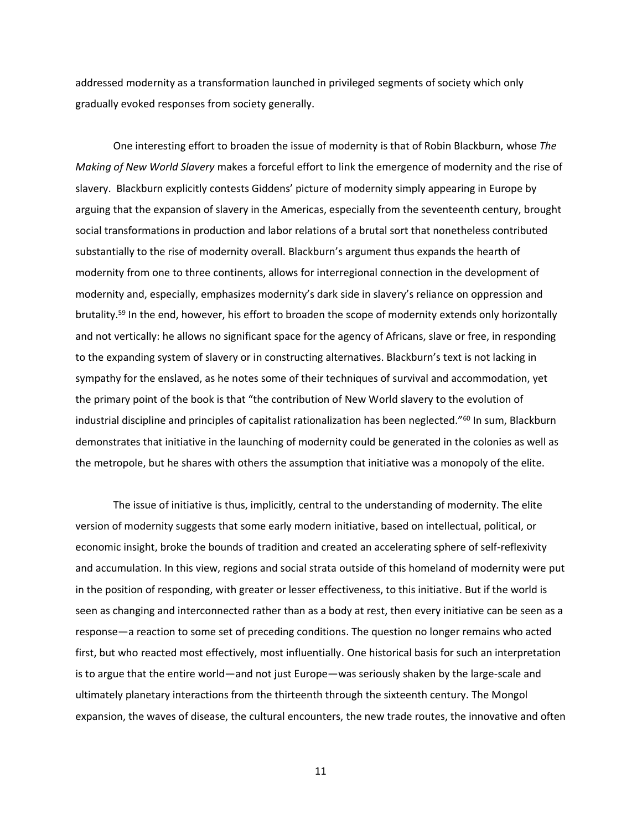addressed modernity as a transformation launched in privileged segments of society which only gradually evoked responses from society generally.

One interesting effort to broaden the issue of modernity is that of Robin Blackburn, whose *The Making of New World Slavery* makes a forceful effort to link the emergence of modernity and the rise of slavery. Blackburn explicitly contests Giddens' picture of modernity simply appearing in Europe by arguing that the expansion of slavery in the Americas, especially from the seventeenth century, brought social transformations in production and labor relations of a brutal sort that nonetheless contributed substantially to the rise of modernity overall. Blackburn's argument thus expands the hearth of modernity from one to three continents, allows for interregional connection in the development of modernity and, especially, emphasizes modernity's dark side in slavery's reliance on oppression and brutality.<sup>59</sup> In the end, however, his effort to broaden the scope of modernity extends only horizontally and not vertically: he allows no significant space for the agency of Africans, slave or free, in responding to the expanding system of slavery or in constructing alternatives. Blackburn's text is not lacking in sympathy for the enslaved, as he notes some of their techniques of survival and accommodation, yet the primary point of the book is that "the contribution of New World slavery to the evolution of industrial discipline and principles of capitalist rationalization has been neglected."<sup>60</sup> In sum, Blackburn demonstrates that initiative in the launching of modernity could be generated in the colonies as well as the metropole, but he shares with others the assumption that initiative was a monopoly of the elite.

The issue of initiative is thus, implicitly, central to the understanding of modernity. The elite version of modernity suggests that some early modern initiative, based on intellectual, political, or economic insight, broke the bounds of tradition and created an accelerating sphere of self-reflexivity and accumulation. In this view, regions and social strata outside of this homeland of modernity were put in the position of responding, with greater or lesser effectiveness, to this initiative. But if the world is seen as changing and interconnected rather than as a body at rest, then every initiative can be seen as a response—a reaction to some set of preceding conditions. The question no longer remains who acted first, but who reacted most effectively, most influentially. One historical basis for such an interpretation is to argue that the entire world—and not just Europe—was seriously shaken by the large-scale and ultimately planetary interactions from the thirteenth through the sixteenth century. The Mongol expansion, the waves of disease, the cultural encounters, the new trade routes, the innovative and often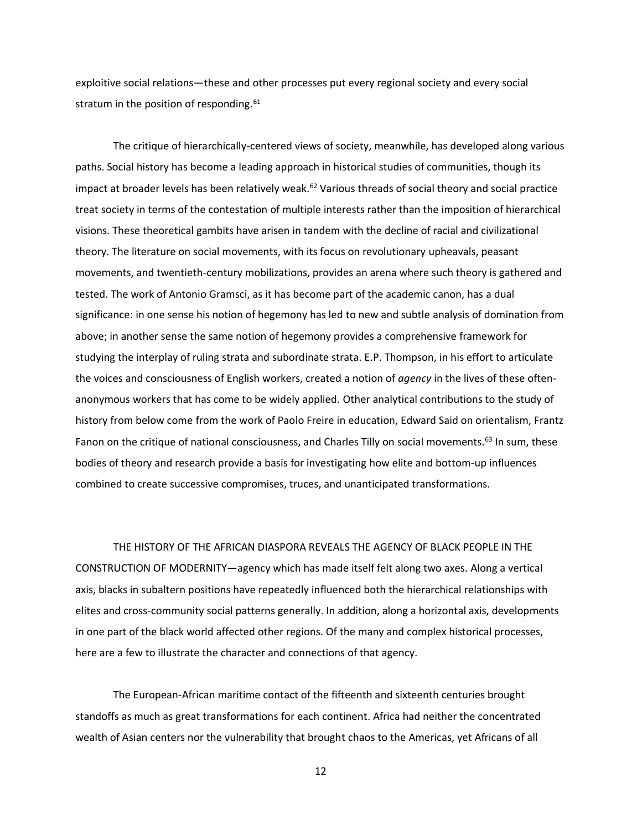exploitive social relations—these and other processes put every regional society and every social stratum in the position of responding.<sup>61</sup>

The critique of hierarchically-centered views of society, meanwhile, has developed along various paths. Social history has become a leading approach in historical studies of communities, though its impact at broader levels has been relatively weak.<sup>62</sup> Various threads of social theory and social practice treat society in terms of the contestation of multiple interests rather than the imposition of hierarchical visions. These theoretical gambits have arisen in tandem with the decline of racial and civilizational theory. The literature on social movements, with its focus on revolutionary upheavals, peasant movements, and twentieth-century mobilizations, provides an arena where such theory is gathered and tested. The work of Antonio Gramsci, as it has become part of the academic canon, has a dual significance: in one sense his notion of hegemony has led to new and subtle analysis of domination from above; in another sense the same notion of hegemony provides a comprehensive framework for studying the interplay of ruling strata and subordinate strata. E.P. Thompson, in his effort to articulate the voices and consciousness of English workers, created a notion of *agency* in the lives of these oftenanonymous workers that has come to be widely applied. Other analytical contributions to the study of history from below come from the work of Paolo Freire in education, Edward Said on orientalism, Frantz Fanon on the critique of national consciousness, and Charles Tilly on social movements.<sup>63</sup> In sum, these bodies of theory and research provide a basis for investigating how elite and bottom-up influences combined to create successive compromises, truces, and unanticipated transformations.

THE HISTORY OF THE AFRICAN DIASPORA REVEALS THE AGENCY OF BLACK PEOPLE IN THE CONSTRUCTION OF MODERNITY—agency which has made itself felt along two axes. Along a vertical axis, blacks in subaltern positions have repeatedly influenced both the hierarchical relationships with elites and cross-community social patterns generally. In addition, along a horizontal axis, developments in one part of the black world affected other regions. Of the many and complex historical processes, here are a few to illustrate the character and connections of that agency.

The European-African maritime contact of the fifteenth and sixteenth centuries brought standoffs as much as great transformations for each continent. Africa had neither the concentrated wealth of Asian centers nor the vulnerability that brought chaos to the Americas, yet Africans of all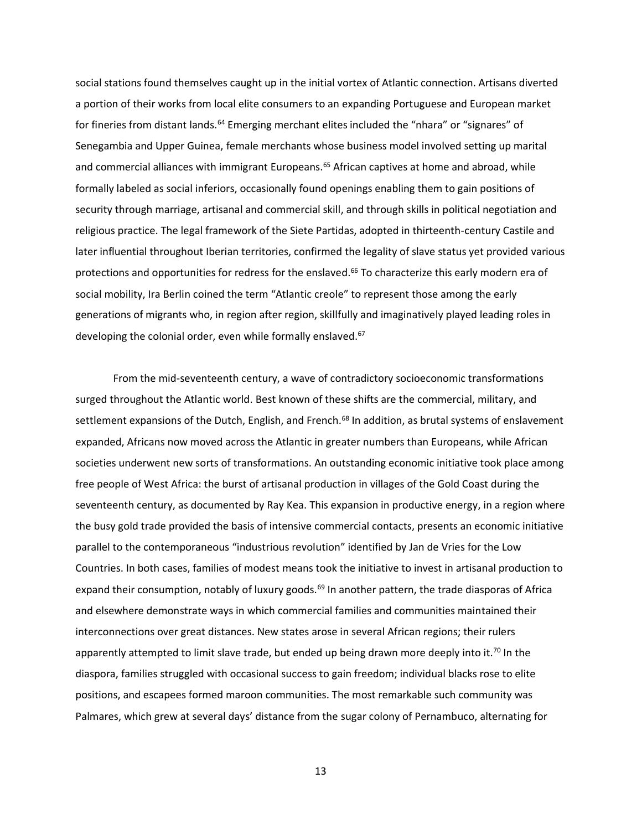social stations found themselves caught up in the initial vortex of Atlantic connection. Artisans diverted a portion of their works from local elite consumers to an expanding Portuguese and European market for fineries from distant lands.<sup>64</sup> Emerging merchant elites included the "nhara" or "signares" of Senegambia and Upper Guinea, female merchants whose business model involved setting up marital and commercial alliances with immigrant Europeans.<sup>65</sup> African captives at home and abroad, while formally labeled as social inferiors, occasionally found openings enabling them to gain positions of security through marriage, artisanal and commercial skill, and through skills in political negotiation and religious practice. The legal framework of the Siete Partidas, adopted in thirteenth-century Castile and later influential throughout Iberian territories, confirmed the legality of slave status yet provided various protections and opportunities for redress for the enslaved.<sup>66</sup> To characterize this early modern era of social mobility, Ira Berlin coined the term "Atlantic creole" to represent those among the early generations of migrants who, in region after region, skillfully and imaginatively played leading roles in developing the colonial order, even while formally enslaved.<sup>67</sup>

From the mid-seventeenth century, a wave of contradictory socioeconomic transformations surged throughout the Atlantic world. Best known of these shifts are the commercial, military, and settlement expansions of the Dutch, English, and French.<sup>68</sup> In addition, as brutal systems of enslavement expanded, Africans now moved across the Atlantic in greater numbers than Europeans, while African societies underwent new sorts of transformations. An outstanding economic initiative took place among free people of West Africa: the burst of artisanal production in villages of the Gold Coast during the seventeenth century, as documented by Ray Kea. This expansion in productive energy, in a region where the busy gold trade provided the basis of intensive commercial contacts, presents an economic initiative parallel to the contemporaneous "industrious revolution" identified by Jan de Vries for the Low Countries. In both cases, families of modest means took the initiative to invest in artisanal production to expand their consumption, notably of luxury goods.<sup>69</sup> In another pattern, the trade diasporas of Africa and elsewhere demonstrate ways in which commercial families and communities maintained their interconnections over great distances. New states arose in several African regions; their rulers apparently attempted to limit slave trade, but ended up being drawn more deeply into it.<sup>70</sup> In the diaspora, families struggled with occasional success to gain freedom; individual blacks rose to elite positions, and escapees formed maroon communities. The most remarkable such community was Palmares, which grew at several days' distance from the sugar colony of Pernambuco, alternating for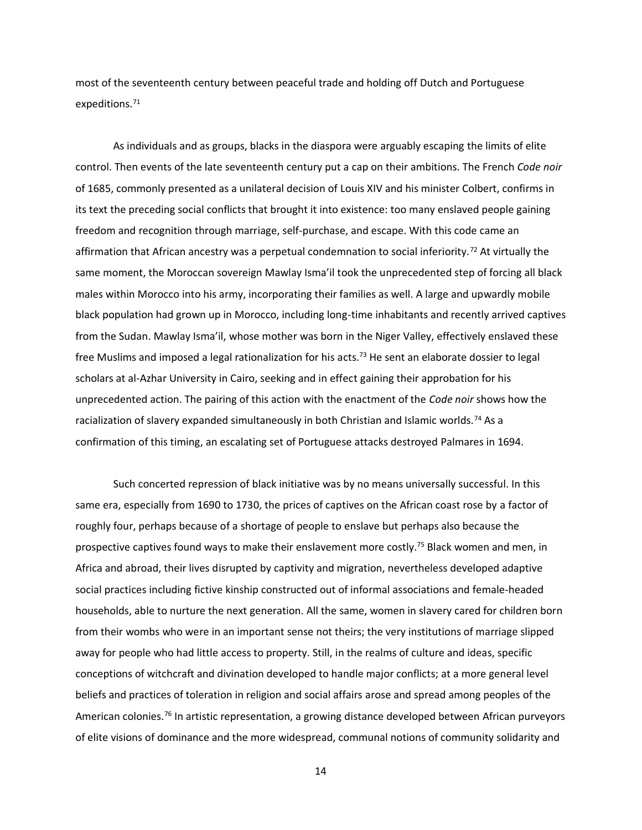most of the seventeenth century between peaceful trade and holding off Dutch and Portuguese expeditions. 71

As individuals and as groups, blacks in the diaspora were arguably escaping the limits of elite control. Then events of the late seventeenth century put a cap on their ambitions. The French *Code noir* of 1685, commonly presented as a unilateral decision of Louis XIV and his minister Colbert, confirms in its text the preceding social conflicts that brought it into existence: too many enslaved people gaining freedom and recognition through marriage, self-purchase, and escape. With this code came an affirmation that African ancestry was a perpetual condemnation to social inferiority.<sup>72</sup> At virtually the same moment, the Moroccan sovereign Mawlay Isma'il took the unprecedented step of forcing all black males within Morocco into his army, incorporating their families as well. A large and upwardly mobile black population had grown up in Morocco, including long-time inhabitants and recently arrived captives from the Sudan. Mawlay Isma'il, whose mother was born in the Niger Valley, effectively enslaved these free Muslims and imposed a legal rationalization for his acts.<sup>73</sup> He sent an elaborate dossier to legal scholars at al-Azhar University in Cairo, seeking and in effect gaining their approbation for his unprecedented action. The pairing of this action with the enactment of the *Code noir* shows how the racialization of slavery expanded simultaneously in both Christian and Islamic worlds.<sup>74</sup> As a confirmation of this timing, an escalating set of Portuguese attacks destroyed Palmares in 1694.

Such concerted repression of black initiative was by no means universally successful. In this same era, especially from 1690 to 1730, the prices of captives on the African coast rose by a factor of roughly four, perhaps because of a shortage of people to enslave but perhaps also because the prospective captives found ways to make their enslavement more costly.<sup>75</sup> Black women and men, in Africa and abroad, their lives disrupted by captivity and migration, nevertheless developed adaptive social practices including fictive kinship constructed out of informal associations and female-headed households, able to nurture the next generation. All the same, women in slavery cared for children born from their wombs who were in an important sense not theirs; the very institutions of marriage slipped away for people who had little access to property. Still, in the realms of culture and ideas, specific conceptions of witchcraft and divination developed to handle major conflicts; at a more general level beliefs and practices of toleration in religion and social affairs arose and spread among peoples of the American colonies.<sup>76</sup> In artistic representation, a growing distance developed between African purveyors of elite visions of dominance and the more widespread, communal notions of community solidarity and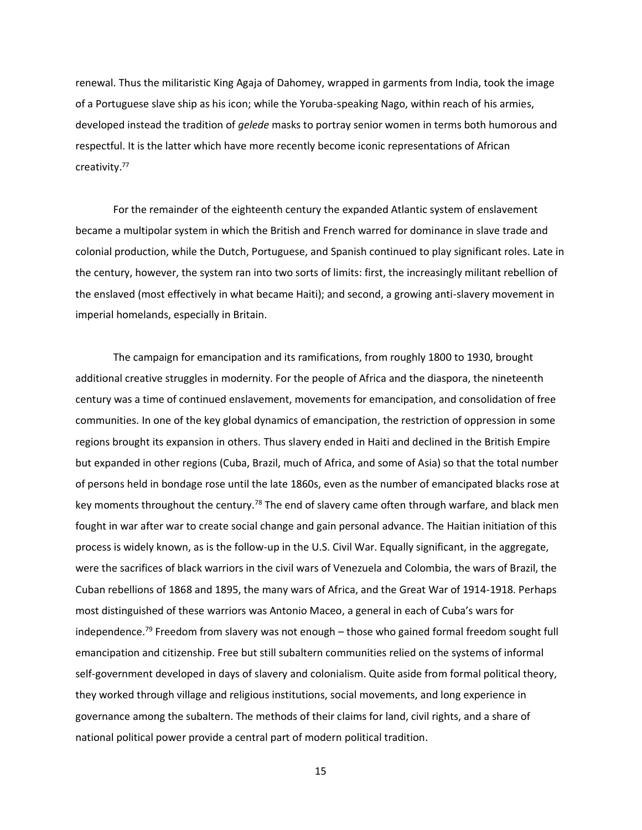renewal. Thus the militaristic King Agaja of Dahomey, wrapped in garments from India, took the image of a Portuguese slave ship as his icon; while the Yoruba-speaking Nago, within reach of his armies, developed instead the tradition of *gelede* masks to portray senior women in terms both humorous and respectful. It is the latter which have more recently become iconic representations of African creativity.<sup>77</sup>

For the remainder of the eighteenth century the expanded Atlantic system of enslavement became a multipolar system in which the British and French warred for dominance in slave trade and colonial production, while the Dutch, Portuguese, and Spanish continued to play significant roles. Late in the century, however, the system ran into two sorts of limits: first, the increasingly militant rebellion of the enslaved (most effectively in what became Haiti); and second, a growing anti-slavery movement in imperial homelands, especially in Britain.

The campaign for emancipation and its ramifications, from roughly 1800 to 1930, brought additional creative struggles in modernity. For the people of Africa and the diaspora, the nineteenth century was a time of continued enslavement, movements for emancipation, and consolidation of free communities. In one of the key global dynamics of emancipation, the restriction of oppression in some regions brought its expansion in others. Thus slavery ended in Haiti and declined in the British Empire but expanded in other regions (Cuba, Brazil, much of Africa, and some of Asia) so that the total number of persons held in bondage rose until the late 1860s, even as the number of emancipated blacks rose at key moments throughout the century.<sup>78</sup> The end of slavery came often through warfare, and black men fought in war after war to create social change and gain personal advance. The Haitian initiation of this process is widely known, as is the follow-up in the U.S. Civil War. Equally significant, in the aggregate, were the sacrifices of black warriors in the civil wars of Venezuela and Colombia, the wars of Brazil, the Cuban rebellions of 1868 and 1895, the many wars of Africa, and the Great War of 1914-1918. Perhaps most distinguished of these warriors was Antonio Maceo, a general in each of Cuba's wars for independence.<sup>79</sup> Freedom from slavery was not enough – those who gained formal freedom sought full emancipation and citizenship. Free but still subaltern communities relied on the systems of informal self-government developed in days of slavery and colonialism. Quite aside from formal political theory, they worked through village and religious institutions, social movements, and long experience in governance among the subaltern. The methods of their claims for land, civil rights, and a share of national political power provide a central part of modern political tradition.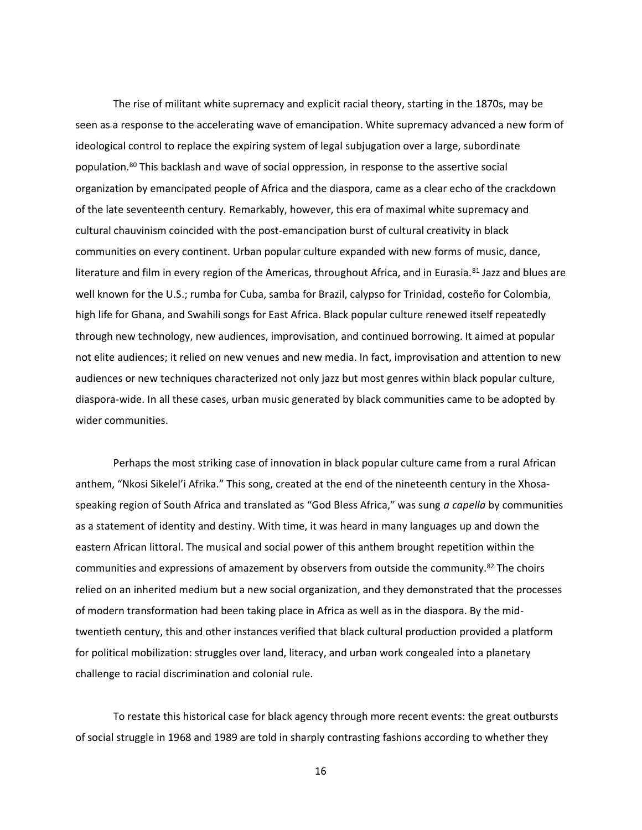The rise of militant white supremacy and explicit racial theory, starting in the 1870s, may be seen as a response to the accelerating wave of emancipation. White supremacy advanced a new form of ideological control to replace the expiring system of legal subjugation over a large, subordinate population.<sup>80</sup> This backlash and wave of social oppression, in response to the assertive social organization by emancipated people of Africa and the diaspora, came as a clear echo of the crackdown of the late seventeenth century. Remarkably, however, this era of maximal white supremacy and cultural chauvinism coincided with the post-emancipation burst of cultural creativity in black communities on every continent. Urban popular culture expanded with new forms of music, dance, literature and film in every region of the Americas, throughout Africa, and in Eurasia.<sup>81</sup> Jazz and blues are well known for the U.S.; rumba for Cuba, samba for Brazil, calypso for Trinidad, costeño for Colombia, high life for Ghana, and Swahili songs for East Africa. Black popular culture renewed itself repeatedly through new technology, new audiences, improvisation, and continued borrowing. It aimed at popular not elite audiences; it relied on new venues and new media. In fact, improvisation and attention to new audiences or new techniques characterized not only jazz but most genres within black popular culture, diaspora-wide. In all these cases, urban music generated by black communities came to be adopted by wider communities.

Perhaps the most striking case of innovation in black popular culture came from a rural African anthem, "Nkosi Sikelel'i Afrika." This song, created at the end of the nineteenth century in the Xhosaspeaking region of South Africa and translated as "God Bless Africa," was sung *a capella* by communities as a statement of identity and destiny. With time, it was heard in many languages up and down the eastern African littoral. The musical and social power of this anthem brought repetition within the communities and expressions of amazement by observers from outside the community.<sup>82</sup> The choirs relied on an inherited medium but a new social organization, and they demonstrated that the processes of modern transformation had been taking place in Africa as well as in the diaspora. By the midtwentieth century, this and other instances verified that black cultural production provided a platform for political mobilization: struggles over land, literacy, and urban work congealed into a planetary challenge to racial discrimination and colonial rule.

To restate this historical case for black agency through more recent events: the great outbursts of social struggle in 1968 and 1989 are told in sharply contrasting fashions according to whether they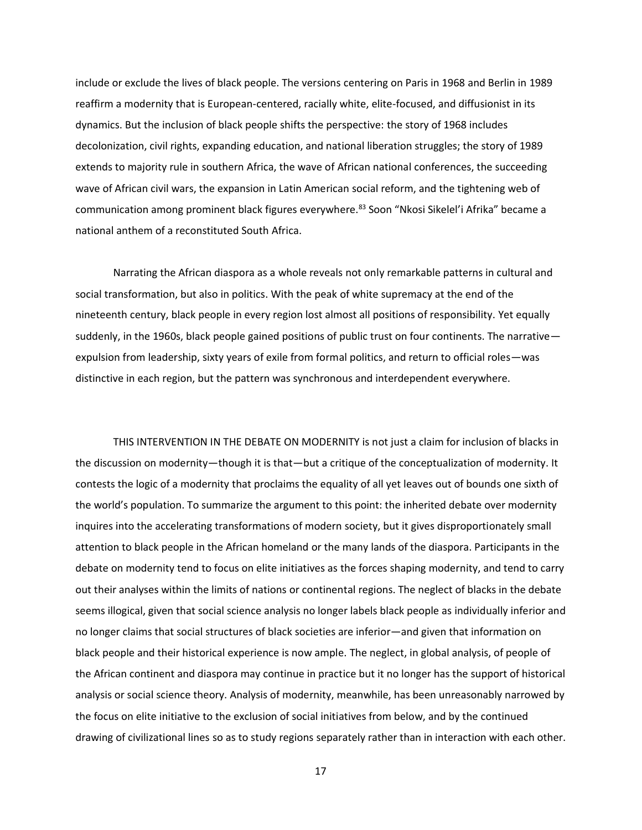include or exclude the lives of black people. The versions centering on Paris in 1968 and Berlin in 1989 reaffirm a modernity that is European-centered, racially white, elite-focused, and diffusionist in its dynamics. But the inclusion of black people shifts the perspective: the story of 1968 includes decolonization, civil rights, expanding education, and national liberation struggles; the story of 1989 extends to majority rule in southern Africa, the wave of African national conferences, the succeeding wave of African civil wars, the expansion in Latin American social reform, and the tightening web of communication among prominent black figures everywhere.<sup>83</sup> Soon "Nkosi Sikelel'i Afrika" became a national anthem of a reconstituted South Africa.

Narrating the African diaspora as a whole reveals not only remarkable patterns in cultural and social transformation, but also in politics. With the peak of white supremacy at the end of the nineteenth century, black people in every region lost almost all positions of responsibility. Yet equally suddenly, in the 1960s, black people gained positions of public trust on four continents. The narrative expulsion from leadership, sixty years of exile from formal politics, and return to official roles—was distinctive in each region, but the pattern was synchronous and interdependent everywhere.

THIS INTERVENTION IN THE DEBATE ON MODERNITY is not just a claim for inclusion of blacks in the discussion on modernity—though it is that—but a critique of the conceptualization of modernity. It contests the logic of a modernity that proclaims the equality of all yet leaves out of bounds one sixth of the world's population. To summarize the argument to this point: the inherited debate over modernity inquires into the accelerating transformations of modern society, but it gives disproportionately small attention to black people in the African homeland or the many lands of the diaspora. Participants in the debate on modernity tend to focus on elite initiatives as the forces shaping modernity, and tend to carry out their analyses within the limits of nations or continental regions. The neglect of blacks in the debate seems illogical, given that social science analysis no longer labels black people as individually inferior and no longer claims that social structures of black societies are inferior—and given that information on black people and their historical experience is now ample. The neglect, in global analysis, of people of the African continent and diaspora may continue in practice but it no longer has the support of historical analysis or social science theory. Analysis of modernity, meanwhile, has been unreasonably narrowed by the focus on elite initiative to the exclusion of social initiatives from below, and by the continued drawing of civilizational lines so as to study regions separately rather than in interaction with each other.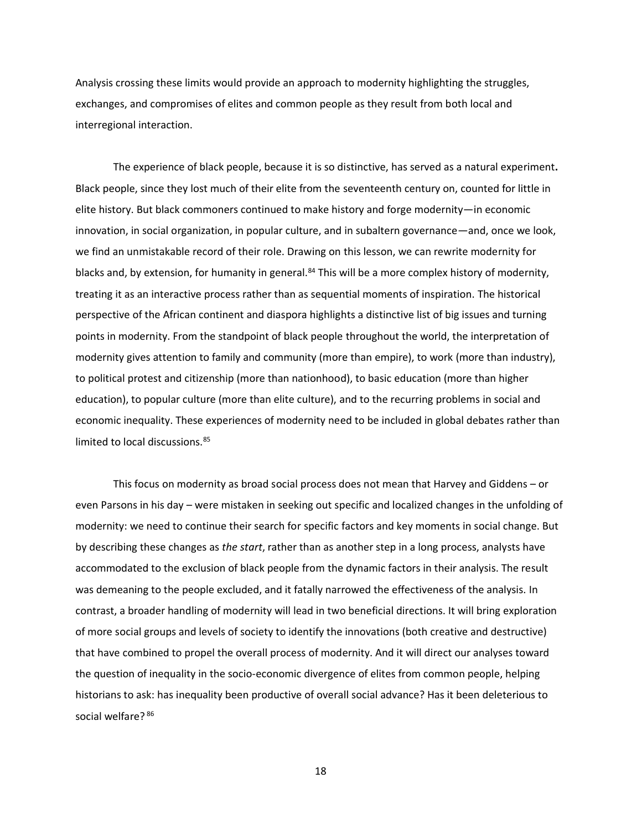Analysis crossing these limits would provide an approach to modernity highlighting the struggles, exchanges, and compromises of elites and common people as they result from both local and interregional interaction.

The experience of black people, because it is so distinctive, has served as a natural experiment**.** Black people, since they lost much of their elite from the seventeenth century on, counted for little in elite history. But black commoners continued to make history and forge modernity—in economic innovation, in social organization, in popular culture, and in subaltern governance—and, once we look, we find an unmistakable record of their role. Drawing on this lesson, we can rewrite modernity for blacks and, by extension, for humanity in general.<sup>84</sup> This will be a more complex history of modernity, treating it as an interactive process rather than as sequential moments of inspiration. The historical perspective of the African continent and diaspora highlights a distinctive list of big issues and turning points in modernity. From the standpoint of black people throughout the world, the interpretation of modernity gives attention to family and community (more than empire), to work (more than industry), to political protest and citizenship (more than nationhood), to basic education (more than higher education), to popular culture (more than elite culture), and to the recurring problems in social and economic inequality. These experiences of modernity need to be included in global debates rather than limited to local discussions.<sup>85</sup>

This focus on modernity as broad social process does not mean that Harvey and Giddens – or even Parsons in his day – were mistaken in seeking out specific and localized changes in the unfolding of modernity: we need to continue their search for specific factors and key moments in social change. But by describing these changes as *the start*, rather than as another step in a long process, analysts have accommodated to the exclusion of black people from the dynamic factors in their analysis. The result was demeaning to the people excluded, and it fatally narrowed the effectiveness of the analysis. In contrast, a broader handling of modernity will lead in two beneficial directions. It will bring exploration of more social groups and levels of society to identify the innovations (both creative and destructive) that have combined to propel the overall process of modernity. And it will direct our analyses toward the question of inequality in the socio-economic divergence of elites from common people, helping historians to ask: has inequality been productive of overall social advance? Has it been deleterious to social welfare? 86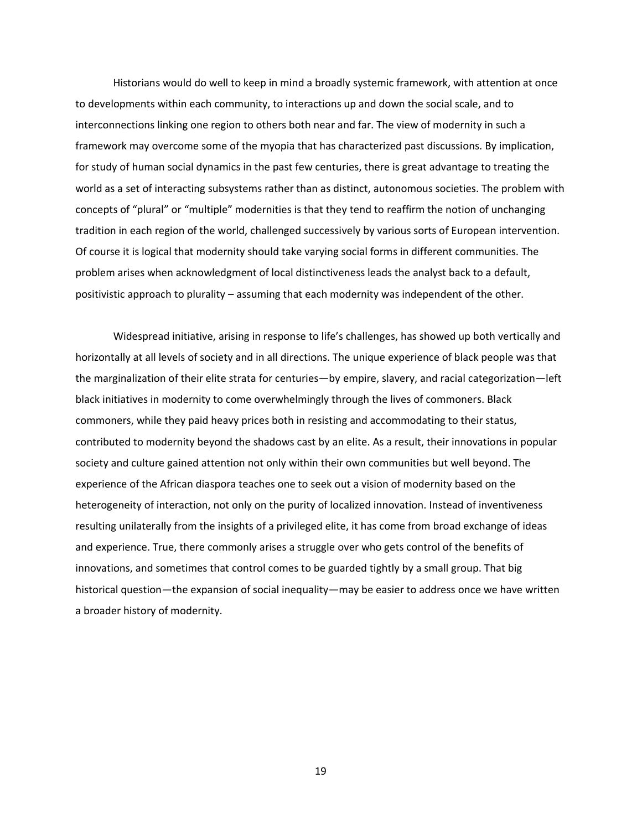Historians would do well to keep in mind a broadly systemic framework, with attention at once to developments within each community, to interactions up and down the social scale, and to interconnections linking one region to others both near and far. The view of modernity in such a framework may overcome some of the myopia that has characterized past discussions. By implication, for study of human social dynamics in the past few centuries, there is great advantage to treating the world as a set of interacting subsystems rather than as distinct, autonomous societies. The problem with concepts of "plural" or "multiple" modernities is that they tend to reaffirm the notion of unchanging tradition in each region of the world, challenged successively by various sorts of European intervention. Of course it is logical that modernity should take varying social forms in different communities. The problem arises when acknowledgment of local distinctiveness leads the analyst back to a default, positivistic approach to plurality – assuming that each modernity was independent of the other.

Widespread initiative, arising in response to life's challenges, has showed up both vertically and horizontally at all levels of society and in all directions. The unique experience of black people was that the marginalization of their elite strata for centuries—by empire, slavery, and racial categorization—left black initiatives in modernity to come overwhelmingly through the lives of commoners. Black commoners, while they paid heavy prices both in resisting and accommodating to their status, contributed to modernity beyond the shadows cast by an elite. As a result, their innovations in popular society and culture gained attention not only within their own communities but well beyond. The experience of the African diaspora teaches one to seek out a vision of modernity based on the heterogeneity of interaction, not only on the purity of localized innovation. Instead of inventiveness resulting unilaterally from the insights of a privileged elite, it has come from broad exchange of ideas and experience. True, there commonly arises a struggle over who gets control of the benefits of innovations, and sometimes that control comes to be guarded tightly by a small group. That big historical question—the expansion of social inequality—may be easier to address once we have written a broader history of modernity.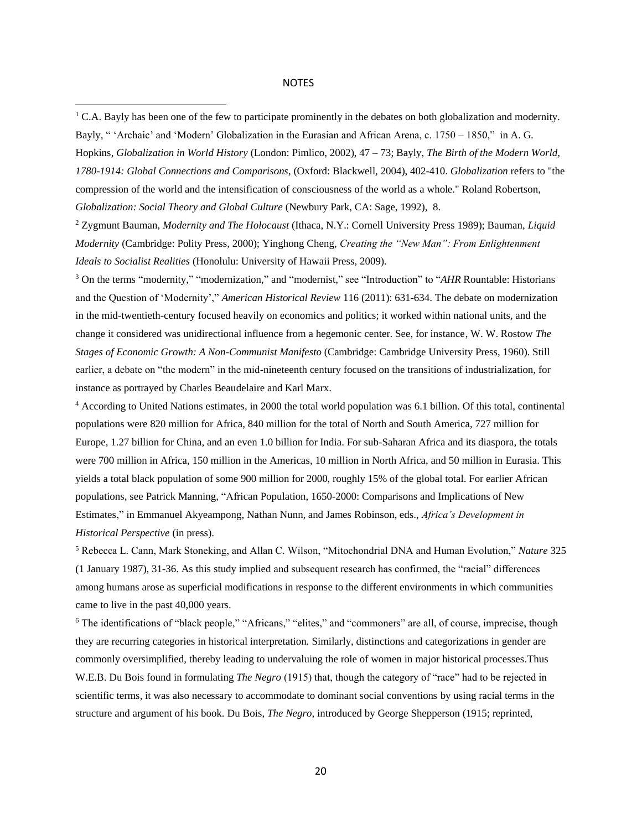## NOTES

*1780-1914: Global Connections and Comparisons*, (Oxford: Blackwell, 2004), 402-410. *Globalization* refers to "the compression of the world and the intensification of consciousness of the world as a whole." Roland Robertson, *Globalization: Social Theory and Global Culture* (Newbury Park, CA: Sage, 1992), 8.

<sup>2</sup> Zygmunt Bauman, *Modernity and The Holocaust* (Ithaca, N.Y.: Cornell University Press 1989); Bauman, *Liquid Modernity* (Cambridge: Polity Press, 2000); Yinghong Cheng, *Creating the "New Man": From Enlightenment Ideals to Socialist Realities* (Honolulu: University of Hawaii Press, 2009).

<sup>3</sup> On the terms "modernity," "modernization," and "modernist," see "Introduction" to "*AHR* Rountable: Historians and the Question of 'Modernity'," *American Historical Review* 116 (2011): 631-634. The debate on modernization in the mid-twentieth-century focused heavily on economics and politics; it worked within national units, and the change it considered was unidirectional influence from a hegemonic center. See, for instance, W. W. Rostow *The Stages of Economic Growth: A Non-Communist Manifesto* (Cambridge: Cambridge University Press, 1960). Still earlier, a debate on "the modern" in the mid-nineteenth century focused on the transitions of industrialization, for instance as portrayed by Charles Beaudelaire and Karl Marx.

<sup>4</sup> According to United Nations estimates, in 2000 the total world population was 6.1 billion. Of this total, continental populations were 820 million for Africa, 840 million for the total of North and South America, 727 million for Europe, 1.27 billion for China, and an even 1.0 billion for India. For sub-Saharan Africa and its diaspora, the totals were 700 million in Africa, 150 million in the Americas, 10 million in North Africa, and 50 million in Eurasia. This yields a total black population of some 900 million for 2000, roughly 15% of the global total. For earlier African populations, see Patrick Manning, "African Population, 1650-2000: Comparisons and Implications of New Estimates," in Emmanuel Akyeampong, Nathan Nunn, and James Robinson, eds., *Africa's Development in Historical Perspective* (in press).

<sup>5</sup> Rebecca L. Cann, Mark Stoneking, and Allan C. Wilson, "Mitochondrial DNA and Human Evolution," *Nature* 325 (1 January 1987), 31-36. As this study implied and subsequent research has confirmed, the "racial" differences among humans arose as superficial modifications in response to the different environments in which communities came to live in the past 40,000 years.

<sup>6</sup> The identifications of "black people," "Africans," "elites," and "commoners" are all, of course, imprecise, though they are recurring categories in historical interpretation. Similarly, distinctions and categorizations in gender are commonly oversimplified, thereby leading to undervaluing the role of women in major historical processes.Thus W.E.B. Du Bois found in formulating *The Negro* (1915) that, though the category of "race" had to be rejected in scientific terms, it was also necessary to accommodate to dominant social conventions by using racial terms in the structure and argument of his book. Du Bois, *The Negro*, introduced by George Shepperson (1915; reprinted,

<sup>&</sup>lt;sup>1</sup> C.A. Bayly has been one of the few to participate prominently in the debates on both globalization and modernity. Bayly, " 'Archaic' and 'Modern' Globalization in the Eurasian and African Arena, c. 1750 – 1850," in A. G. Hopkins, *Globalization in World History* (London: Pimlico, 2002), 47 – 73; Bayly, *The Birth of the Modern World,*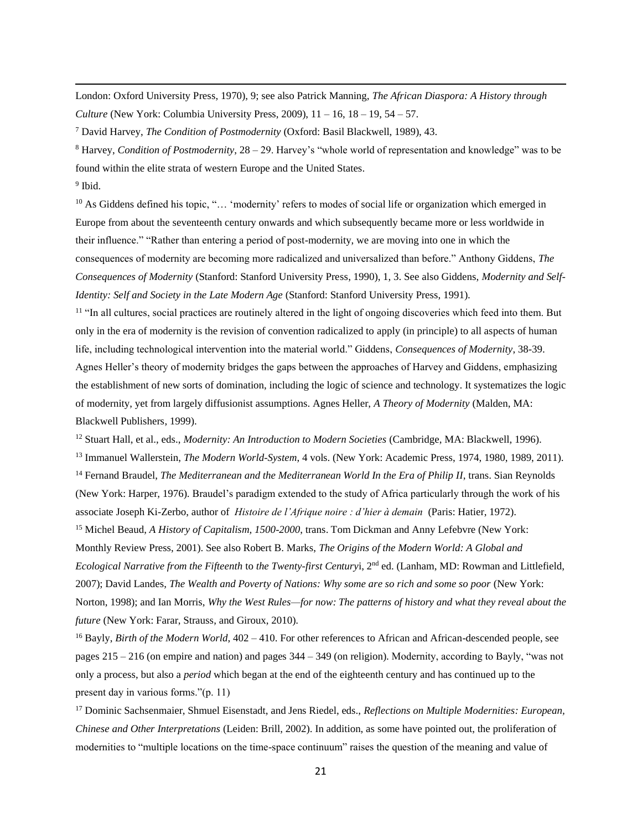London: Oxford University Press, 1970), 9; see also Patrick Manning, *The African Diaspora: A History through Culture* (New York: Columbia University Press, 2009), 11 – 16, 18 – 19, 54 – 57.

<sup>7</sup> David Harvey, *The Condition of Postmodernity* (Oxford: Basil Blackwell, 1989), 43.

<sup>8</sup> Harvey, *Condition of Postmodernity*, 28 – 29. Harvey's "whole world of representation and knowledge" was to be found within the elite strata of western Europe and the United States.

<sup>9</sup> Ibid.

 $10$  As Giddens defined his topic, "... 'modernity' refers to modes of social life or organization which emerged in Europe from about the seventeenth century onwards and which subsequently became more or less worldwide in their influence." "Rather than entering a period of post-modernity, we are moving into one in which the consequences of modernity are becoming more radicalized and universalized than before." Anthony Giddens, *The Consequences of Modernity* (Stanford: Stanford University Press, 1990), 1, 3. See also Giddens, *Modernity and Self-Identity: Self and Society in the Late Modern Age* (Stanford: Stanford University Press, 1991).

<sup>11</sup> "In all cultures, social practices are routinely altered in the light of ongoing discoveries which feed into them. But only in the era of modernity is the revision of convention radicalized to apply (in principle) to all aspects of human life, including technological intervention into the material world." Giddens, *Consequences of Modernity*, 38-39. Agnes Heller's theory of modernity bridges the gaps between the approaches of Harvey and Giddens, emphasizing the establishment of new sorts of domination, including the logic of science and technology. It systematizes the logic of modernity, yet from largely diffusionist assumptions. Agnes Heller, *A Theory of Modernity* (Malden, MA: Blackwell Publishers, 1999).

<sup>12</sup> Stuart Hall, et al., eds., *Modernity: An Introduction to Modern Societies* (Cambridge, MA: Blackwell, 1996).

<sup>13</sup> Immanuel Wallerstein, *The Modern World-System*, 4 vols. (New York: Academic Press, 1974, 1980, 1989, 2011).

<sup>14</sup> Fernand Braudel, *The Mediterranean and the Mediterranean World In the Era of Philip II*, trans. Sian Reynolds (New York: Harper, 1976). Braudel's paradigm extended to the study of Africa particularly through the work of his associate Joseph Ki-Zerbo, author of *Histoire de l'Afrique noire : d'hier à demain* (Paris: Hatier, 1972).

<sup>15</sup> Michel Beaud, *A History of Capitalism, 1500-2000*, trans. Tom Dickman and Anny Lefebvre (New York: Monthly Review Press, 2001). See also Robert B. Marks, *The Origins of the Modern World: A Global and Ecological Narrative from the Fifteenth* to *the Twenty-first Century*i, 2nd ed. (Lanham, MD: Rowman and Littlefield, 2007); David Landes, *The Wealth and Poverty of Nations: Why some are so rich and some so poor* (New York: Norton, 1998); and Ian Morris, *Why the West Rules—for now: The patterns of history and what they reveal about the future* (New York: Farar, Strauss, and Giroux, 2010).

<sup>16</sup> Bayly, *Birth of the Modern World*, 402 – 410. For other references to African and African-descended people, see pages 215 – 216 (on empire and nation) and pages 344 – 349 (on religion). Modernity, according to Bayly, "was not only a process, but also a *period* which began at the end of the eighteenth century and has continued up to the present day in various forms."(p. 11)

<sup>17</sup> Dominic Sachsenmaier, Shmuel Eisenstadt, and Jens Riedel, eds., *Reflections on Multiple Modernities: European, Chinese and Other Interpretations* (Leiden: Brill, 2002). In addition, as some have pointed out, the proliferation of modernities to "multiple locations on the time-space continuum" raises the question of the meaning and value of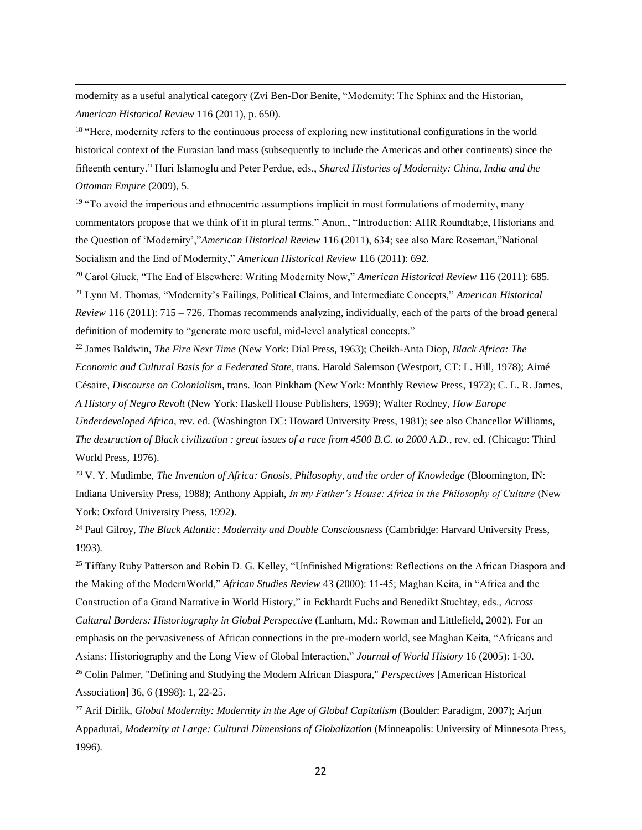modernity as a useful analytical category (Zvi Ben-Dor Benite, "Modernity: The Sphinx and the Historian, *American Historical Review* 116 (2011), p. 650).

<sup>18</sup> "Here, modernity refers to the continuous process of exploring new institutional configurations in the world historical context of the Eurasian land mass (subsequently to include the Americas and other continents) since the fifteenth century." Huri Islamoglu and Peter Perdue, eds., *Shared Histories of Modernity: China, India and the Ottoman Empire* (2009), 5.

 $19$  "To avoid the imperious and ethnocentric assumptions implicit in most formulations of modernity, many commentators propose that we think of it in plural terms." Anon., "Introduction: AHR Roundtab;e, Historians and the Question of 'Modernity',"*American Historical Review* 116 (2011), 634; see also Marc Roseman,"National Socialism and the End of Modernity," *American Historical Review* 116 (2011): 692.

<sup>20</sup> Carol Gluck, "The End of Elsewhere: Writing Modernity Now," *American Historical Review* 116 (2011): 685. <sup>21</sup> Lynn M. Thomas, "Modernity's Failings, Political Claims, and Intermediate Concepts," *American Historical Review* 116 (2011): 715 – 726. Thomas recommends analyzing, individually, each of the parts of the broad general definition of modernity to "generate more useful, mid-level analytical concepts."

<sup>22</sup> James Baldwin, *The Fire Next Time* (New York: Dial Press, 1963); Cheikh-Anta Diop, *Black Africa: The Economic and Cultural Basis for a Federated State*, trans. Harold Salemson (Westport, CT: L. Hill, 1978); Aimé Césaire, *Discourse on Colonialism*, trans. Joan Pinkham (New York: Monthly Review Press, 1972); C. L. R. James, *A History of Negro Revolt* (New York: Haskell House Publishers, 1969); Walter Rodney, *How Europe Underdeveloped Africa*, rev. ed. (Washington DC: Howard University Press, 1981); see also Chancellor Williams, *The destruction of Black civilization : great issues of a race from 4500 B.C. to 2000 A.D.*, rev. ed. (Chicago: Third World Press, 1976).

<sup>23</sup> V. Y. Mudimbe, *The Invention of Africa: Gnosis, Philosophy, and the order of Knowledge* (Bloomington, IN: Indiana University Press, 1988); Anthony Appiah, *In my Father's House: Africa in the Philosophy of Culture* (New York: Oxford University Press, 1992).

<sup>24</sup> Paul Gilroy, *The Black Atlantic: Modernity and Double Consciousness* (Cambridge: Harvard University Press, 1993).

<sup>25</sup> Tiffany Ruby Patterson and Robin D. G. Kelley, "Unfinished Migrations: Reflections on the African Diaspora and the Making of the ModernWorld," *African Studies Review* 43 (2000): 11-45; Maghan Keita, in "Africa and the Construction of a Grand Narrative in World History," in Eckhardt Fuchs and Benedikt Stuchtey, eds., *Across Cultural Borders: Historiography in Global Perspective* (Lanham, Md.: Rowman and Littlefield, 2002). For an emphasis on the pervasiveness of African connections in the pre-modern world, see Maghan Keita, "Africans and Asians: Historiography and the Long View of Global Interaction," *Journal of World History* 16 (2005): 1-30.

<sup>26</sup> Colin Palmer, "Defining and Studying the Modern African Diaspora," *Perspectives* [American Historical Association] 36, 6 (1998): 1, 22-25.

<sup>27</sup> Arif Dirlik, *Global Modernity: Modernity in the Age of Global Capitalism* (Boulder: Paradigm, 2007); Arjun Appadurai, *Modernity at Large: Cultural Dimensions of Globalization* (Minneapolis: University of Minnesota Press, 1996).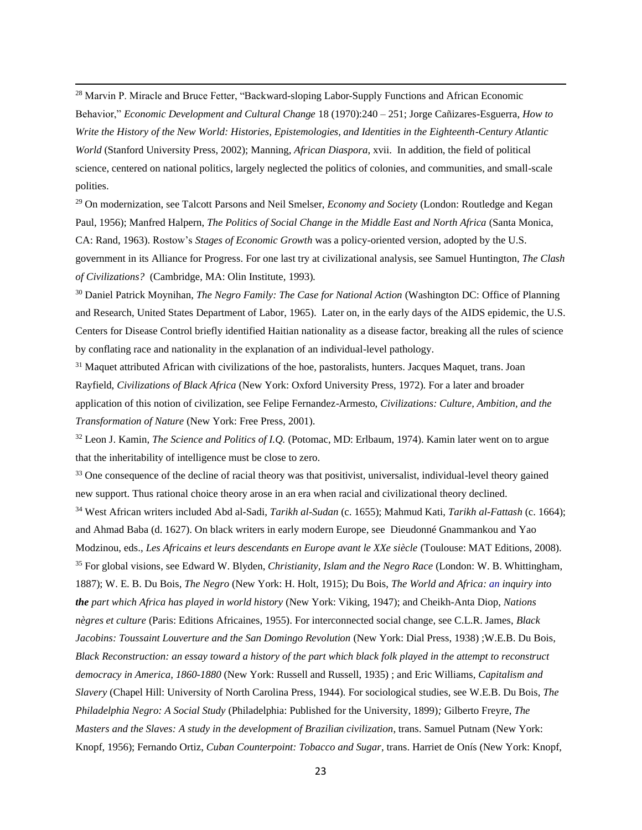<sup>28</sup> Marvin P. Miracle and Bruce Fetter, "Backward-sloping Labor-Supply Functions and African Economic Behavior," *Economic Development and Cultural Change* 18 (1970):240 – 251; Jorge Cañizares-Esguerra, *How to Write the History of the New World: Histories, Epistemologies, and Identities in the Eighteenth-Century Atlantic World* (Stanford University Press, 2002); Manning, *African Diaspora*, xvii. In addition, the field of political science, centered on national politics, largely neglected the politics of colonies, and communities, and small-scale polities.

<sup>29</sup> On modernization, see Talcott Parsons and Neil Smelser, *Economy and Society* (London: Routledge and Kegan Paul, 1956); Manfred Halpern, *The Politics of Social Change in the Middle East and North Africa* (Santa Monica, CA: Rand, 1963). Rostow's *Stages of Economic Growth* was a policy-oriented version, adopted by the U.S. government in its Alliance for Progress. For one last try at civilizational analysis, see Samuel Huntington, *The Clash of Civilizations?* (Cambridge, MA: Olin Institute, 1993)*.*

<sup>30</sup> Daniel Patrick Moynihan, *The Negro Family: The Case for National Action* (Washington DC: Office of Planning and Research, United States Department of Labor, 1965). Later on, in the early days of the AIDS epidemic, the U.S. Centers for Disease Control briefly identified Haitian nationality as a disease factor, breaking all the rules of science by conflating race and nationality in the explanation of an individual-level pathology.

<sup>31</sup> Maquet attributed African with civilizations of the hoe, pastoralists, hunters. Jacques Maquet, trans. Joan Rayfield, *Civilizations of Black Africa* (New York: Oxford University Press, 1972). For a later and broader application of this notion of civilization, see Felipe Fernandez-Armesto, *Civilizations: Culture, Ambition, and the Transformation of Nature* (New York: Free Press, 2001).

<sup>32</sup> Leon J. Kamin, *The Science and Politics of I.Q.* (Potomac, MD: Erlbaum, 1974). Kamin later went on to argue that the inheritability of intelligence must be close to zero.

<sup>33</sup> One consequence of the decline of racial theory was that positivist, universalist, individual-level theory gained new support. Thus rational choice theory arose in an era when racial and civilizational theory declined.

<sup>34</sup> West African writers included Abd al-Sadi, *Tarikh al-Sudan* (c. 1655); Mahmud Kati, *Tarikh al-Fattash* (c. 1664); and Ahmad Baba (d. 1627). On black writers in early modern Europe, see Dieudonné Gnammankou and Yao Modzinou, eds., *Les Africains et leurs descendants en Europe avant le XXe siècle* (Toulouse: MAT Editions, 2008). <sup>35</sup> For global visions, see Edward W. Blyden, *Christianity, Islam and the Negro Race* (London: W. B. Whittingham, 1887); W. E. B. Du Bois, *The Negro* (New York: H. Holt, 1915); Du Bois, *The World and Africa: an inquiry into the part which Africa has played in world history* (New York: Viking, 1947); and Cheikh-Anta Diop, *Nations nègres et culture* (Paris: Editions Africaines, 1955). For interconnected social change, see C.L.R. James, *Black Jacobins: Toussaint Louverture and the San Domingo Revolution (New York: Dial Press, 1938) ;W.E.B. Du Bois, Black Reconstruction: an essay toward a history of the part which black folk played in the attempt to reconstruct democracy in America, 1860-1880* (New York: Russell and Russell, 1935) ; and Eric Williams, *Capitalism and Slavery* (Chapel Hill: University of North Carolina Press, 1944)*.* For sociological studies, see W.E.B. Du Bois, *The Philadelphia Negro: A Social Study* (Philadelphia: Published for the University, 1899)*;* Gilberto Freyre, *The Masters and the Slaves: A study in the development of Brazilian civilization*, trans. Samuel Putnam (New York: Knopf, 1956); Fernando Ortiz, *Cuban Counterpoint: Tobacco and Sugar*, trans. Harriet de Onís (New York: Knopf,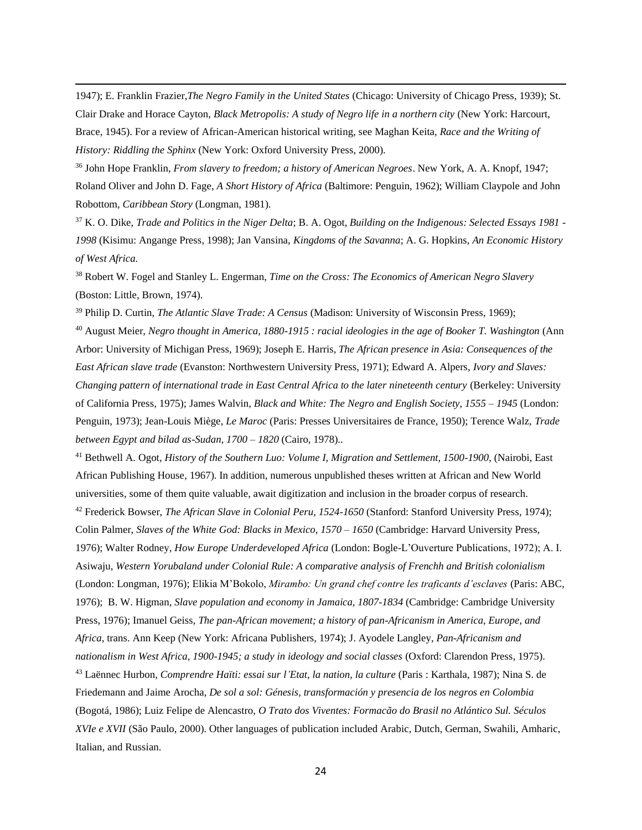1947); E. Franklin Frazier,*The Negro Family in the United States* (Chicago: University of Chicago Press, 1939); St. Clair Drake and Horace Cayton, *Black Metropolis: A study of Negro life in a northern city* (New York: Harcourt, Brace, 1945). For a review of African-American historical writing, see Maghan Keita, *Race and the Writing of History: Riddling the Sphinx* (New York: Oxford University Press, 2000).

<sup>36</sup> John Hope Franklin, *From slavery to freedom; a history of American Negroes*. New York, A. A. Knopf, 1947; Roland Oliver and John D. Fage, *A Short History of Africa* (Baltimore: Penguin, 1962); [William Claypole](http://www.google.com/search?tbo=p&tbm=bks&q=inauthor:%22William+Claypole%22) and [John](http://www.google.com/search?tbo=p&tbm=bks&q=inauthor:%22John+Robottom%22)  [Robottom,](http://www.google.com/search?tbo=p&tbm=bks&q=inauthor:%22John+Robottom%22) *Caribbean Story* (Longman, 1981).

<sup>37</sup> K. O. Dike, *Trade and Politics in the Niger Delta*; B. A. Ogot, *Building on the Indigenous: Selected Essays 1981 - 1998* (Kisimu: Angange Press, 1998); Jan Vansina, *Kingdoms of the Savanna*; A. G. Hopkins, *An Economic History of West Africa.*

<sup>38</sup> Robert W. Fogel and Stanley L. Engerman, *Time on the Cross: The Economics of American Negro Slavery*  (Boston: Little, Brown, 1974).

<sup>39</sup> Philip D. Curtin, *The Atlantic Slave Trade: A Census* (Madison: University of Wisconsin Press, 1969);

<sup>40</sup> August Meier, *Negro thought in America, 1880-1915 : racial ideologies in the age of Booker T. Washington* (Ann Arbor: University of Michigan Press, 1969); Joseph E. Harris, *The African presence in Asia: Consequences of the East African slave trade* (Evanston: Northwestern University Press, 1971); Edward A. Alpers, *Ivory and Slaves: Changing pattern of international trade in East Central Africa to the later nineteenth century* (Berkeley: University of California Press, 1975); James Walvin, *Black and White: The Negro and English Society, 1555 – 1945* (London: Penguin, 1973); Jean-Louis Miège, *Le Maroc* (Paris: Presses Universitaires de France, 1950); Terence Walz, *Trade between Egypt and bilad as-Sudan, 1700 – 1820* (Cairo, 1978)..

<sup>41</sup> Bethwell A. Ogot, *History of the Southern Luo: Volume I, Migration and Settlement, 1500-1900*, [\(Nairobi,](http://en.wikipedia.org/wiki/Nairobi) [East](http://en.wikipedia.org/w/index.php?title=East_African_Publishing_House&action=edit&redlink=1)  [African Publishing House,](http://en.wikipedia.org/w/index.php?title=East_African_Publishing_House&action=edit&redlink=1) 1967). In addition, numerous unpublished theses written at African and New World universities, some of them quite valuable, await digitization and inclusion in the broader corpus of research. <sup>42</sup> Frederick Bowser, *The African Slave in Colonial Peru, 1524-1650* (Stanford: Stanford University Press, 1974); Colin Palmer, *Slaves of the White God: Blacks in Mexico, 1570 – 1650* (Cambridge: Harvard University Press, 1976); Walter Rodney, *How Europe Underdeveloped Africa* (London: Bogle-L'Ouverture Publications, 1972); A. I. Asiwaju, *Western Yorubaland under Colonial Rule: A comparative analysis of Frenchh and British colonialism*  (London: Longman, 1976); Elikia M'Bokolo, *Mirambo: Un grand chef contre les traficants d'esclaves* (Paris: ABC, 1976); B. W. Higman, *Slave population and economy in Jamaica, 1807-1834* (Cambridge: Cambridge University Press, 1976); Imanuel Geiss, *The pan-African movement; a history of pan-Africanism in America, Europe, and Africa*, trans. Ann Keep (New York: Africana Publishers, 1974); J. Ayodele Langley, *Pan-Africanism and nationalism in West Africa, 1900-1945; a study in ideology and social classes* (Oxford: Clarendon Press, 1975).

<sup>43</sup> Laënnec Hurbon, *Comprendre Haïti: essai sur l'Etat, la nation, la culture* (Paris : Karthala, 1987); Nina S. de Friedemann and Jaime Arocha, *De sol a sol: Génesis, transformación y presencia de los negros en Colombia*  (Bogotá, 1986); Luiz Felipe de Alencastro, *O Trato dos Viventes: Formacão do Brasil no Atlántico Sul. Séculos XVIe e XVII* (São Paulo, 2000). Other languages of publication included Arabic, Dutch, German, Swahili, Amharic, Italian, and Russian.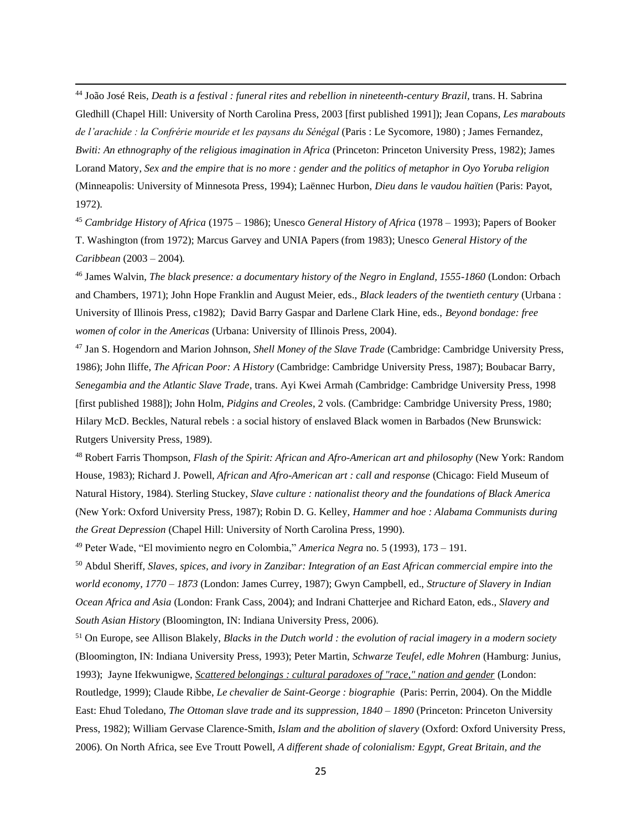<sup>44</sup> João José Reis, *Death is a festival : funeral rites and rebellion in nineteenth-century Brazil,* trans. H. Sabrina Gledhill (Chapel Hill: University of North Carolina Press, 2003 [first published 1991]); Jean Copans, *Les marabouts de l'arachide : la Confrérie mouride et les paysans du Sénégal* (Paris : Le Sycomore, 1980) ; James Fernandez, *Bwiti: An ethnography of the religious imagination in Africa* (Princeton: Princeton University Press, 1982); James Lorand Matory, *Sex and the empire that is no more : gender and the politics of metaphor in Oyo Yoruba religion* (Minneapolis: University of Minnesota Press, 1994); Laënnec Hurbon, *Dieu dans le vaudou haïtien* (Paris: Payot, 1972).

<sup>45</sup> *Cambridge History of Africa* (1975 – 1986); Unesco *General History of Africa* (1978 – 1993); Papers of Booker T. Washington (from 1972); Marcus Garvey and UNIA Papers (from 1983); Unesco *General History of the Caribbean* (2003 – 2004)*.* 

<sup>46</sup> James Walvin, *The black presence: a documentary history of the Negro in England, 1555-1860* (London: Orbach and Chambers, 1971); John Hope Franklin and August Meier, eds., *Black leaders of the twentieth century* (Urbana : University of Illinois Press, c1982); David Barry Gaspar and Darlene Clark Hine, eds., *Beyond bondage: free women of color in the Americas* (Urbana: University of Illinois Press, 2004).

<sup>47</sup> Jan S. Hogendorn and Marion Johnson, *Shell Money of the Slave Trade* (Cambridge: Cambridge University Press, 1986); John Iliffe, *The African Poor: A History* (Cambridge: Cambridge University Press, 1987); Boubacar Barry, *Senegambia and the Atlantic Slave Trade*, trans. Ayi Kwei Armah (Cambridge: Cambridge University Press, 1998 [first published 1988]); John Holm, *Pidgins and Creoles*, 2 vols. (Cambridge: Cambridge University Press, 1980; Hilary McD. Beckles, Natural rebels : a social history of enslaved Black women in Barbados (New Brunswick: Rutgers University Press, 1989).

<sup>48</sup> Robert Farris Thompson, *Flash of the Spirit: African and Afro-American art and philosophy* (New York: Random House, 1983); Richard J. Powell, *African and Afro-American art : call and response* (Chicago: Field Museum of Natural History, 1984). Sterling Stuckey, *Slave culture : nationalist theory and the foundations of Black America*  (New York: Oxford University Press, 1987); Robin D. G. Kelley, *Hammer and hoe : Alabama Communists during the Great Depression* (Chapel Hill: University of North Carolina Press, 1990).

<sup>49</sup> Peter Wade, "El movimiento negro en Colombia," *America Negra* no. 5 (1993), 173 – 191*.*

<sup>50</sup> Abdul Sheriff, *Slaves, spices, and ivory in Zanzibar: Integration of an East African commercial empire into the world economy, 1770 – 1873* (London: James Currey, 1987); Gwyn Campbell, ed., *Structure of Slavery in Indian Ocean Africa and Asia* (London: Frank Cass, 2004); and Indrani Chatterjee and Richard Eaton, eds., *Slavery and South Asian History* (Bloomington, IN: Indiana University Press, 2006).

<sup>51</sup> On Europe, see Allison Blakely, *Blacks in the Dutch world : the evolution of racial imagery in a modern society* (Bloomington, IN: Indiana University Press, 1993); Peter Martin, *Schwarze Teufel, edle Mohren* (Hamburg: Junius, 1993); Jayne Ifekwunigwe, *[Scattered belongings : cultural paradoxes of "race," nation and gender](http://lms01.harvard.edu/F/88RLF93RDPKT9XFNFMMHH5J2I677I8PUDNXFMC55VI5BU6XE8G-14805?func=find-acc&acc_sequence=052289841)* (London: Routledge, 1999); Claude Ribbe, *Le chevalier de Saint-George : biographie* (Paris: Perrin, 2004). On the Middle East: Ehud Toledano, *The Ottoman slave trade and its suppression, 1840 – 1890* (Princeton: Princeton University Press, 1982); William Gervase Clarence-Smith, *Islam and the abolition of slavery* (Oxford: Oxford University Press, 2006). On North Africa, see Eve Troutt Powell, *A different shade of colonialism: Egypt, Great Britain, and the*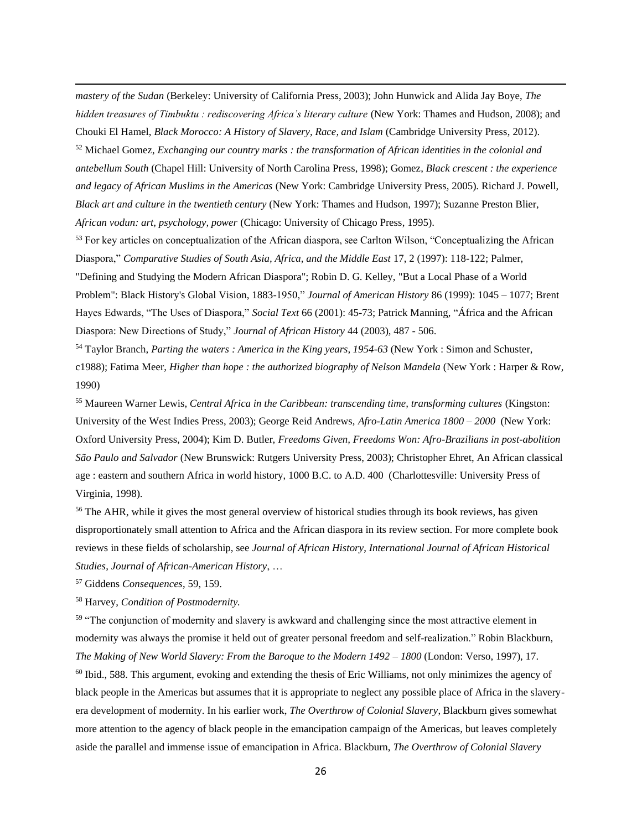*mastery of the Sudan* (Berkeley: University of California Press, 2003); John Hunwick and Alida Jay Boye, *The hidden treasures of Timbuktu : rediscovering Africa's literary culture* (New York: Thames and Hudson, 2008); and Chouki El Hamel, *Black Morocco: A History of Slavery, Race, and Islam* (Cambridge University Press, 2012). <sup>52</sup> Michael Gomez, *Exchanging our country marks : the transformation of African identities in the colonial and antebellum South* (Chapel Hill: University of North Carolina Press, 1998); Gomez, *Black crescent : the experience and legacy of African Muslims in the Americas* (New York: Cambridge University Press, 2005). Richard J. Powell, *Black art and culture in the twentieth century* (New York: Thames and Hudson, 1997); Suzanne Preston Blier, *African vodun: art, psychology, power* (Chicago: University of Chicago Press, 1995).

<sup>53</sup> For key articles on conceptualization of the African diaspora, see Carlton Wilson, "Conceptualizing the African Diaspora," *Comparative Studies of South Asia, Africa, and the Middle East 17, 2 (1997): 118-122; Palmer,* "Defining and Studying the Modern African Diaspora"; Robin D. G. Kelley, "But a Local Phase of a World Problem": Black History's Global Vision, 1883-1950," *Journal of American History* 86 (1999): 1045 – 1077; Brent Hayes Edwards, "The Uses of Diaspora," *Social Text* 66 (2001): 45-73; Patrick Manning, "África and the African Diaspora: New Directions of Study," *Journal of African History* 44 (2003), 487 - 506.

<sup>54</sup> Taylor Branch, *Parting the waters : America in the King years, 1954-63* (New York : Simon and Schuster, c1988); Fatima Meer, *Higher than hope : the authorized biography of Nelson Mandela* (New York : Harper & Row, 1990)

<sup>55</sup> Maureen Warner Lewis, *Central Africa in the Caribbean: transcending time, transforming cultures* (Kingston: University of the West Indies Press, 2003); George Reid Andrews, *Afro-Latin America 1800 – 2000* (New York: Oxford University Press, 2004); Kim D. Butler, *Freedoms Given, Freedoms Won: Afro-Brazilians in post-abolition São Paulo and Salvador* (New Brunswick: Rutgers University Press, 2003); Christopher Ehret, An African classical age : eastern and southern Africa in world history, 1000 B.C. to A.D. 400 (Charlottesville: University Press of Virginia, 1998).

<sup>56</sup> The AHR, while it gives the most general overview of historical studies through its book reviews, has given disproportionately small attention to Africa and the African diaspora in its review section. For more complete book reviews in these fields of scholarship, see *Journal of African History*, *International Journal of African Historical Studies*, *Journal of African-American History*, …

<sup>57</sup> Giddens *Consequences*, 59, 159.

<sup>58</sup> Harvey, *Condition of Postmodernity.*

<sup>59</sup> "The conjunction of modernity and slavery is awkward and challenging since the most attractive element in modernity was always the promise it held out of greater personal freedom and self-realization." Robin Blackburn, *The Making of New World Slavery: From the Baroque to the Modern 1492 – 1800* (London: Verso, 1997), 17.

<sup>60</sup> Ibid., 588. This argument, evoking and extending the thesis of Eric Williams, not only minimizes the agency of black people in the Americas but assumes that it is appropriate to neglect any possible place of Africa in the slaveryera development of modernity. In his earlier work, *The Overthrow of Colonial Slavery*, Blackburn gives somewhat more attention to the agency of black people in the emancipation campaign of the Americas, but leaves completely aside the parallel and immense issue of emancipation in Africa. Blackburn, *The Overthrow of Colonial Slavery*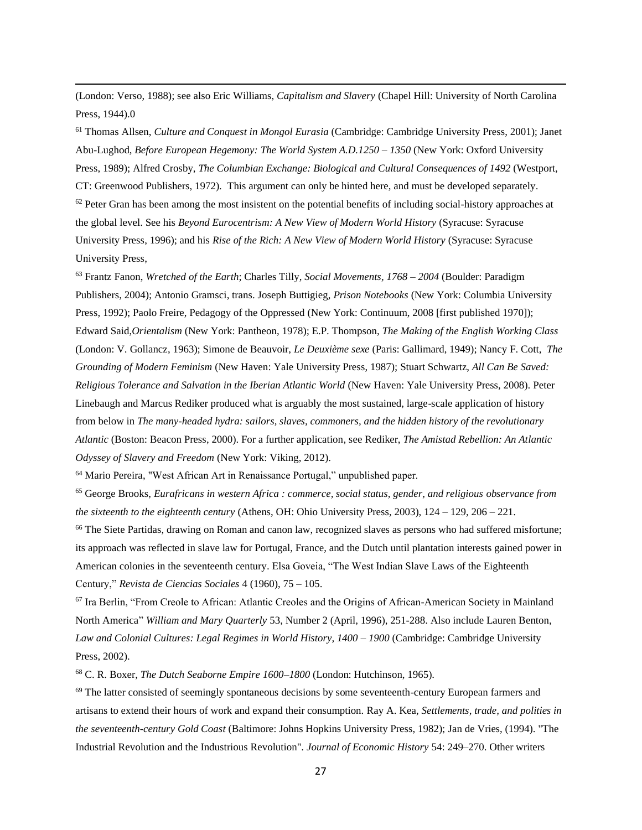(London: Verso, 1988); see also Eric Williams, *Capitalism and Slavery* (Chapel Hill: University of North Carolina Press, 1944).0

<sup>61</sup> Thomas Allsen, *Culture and Conquest in Mongol Eurasia* (Cambridge: Cambridge University Press, 2001); Janet Abu-Lughod, *Before European Hegemony: The World System A.D.1250 – 1350* (New York: Oxford University Press, 1989); Alfred Crosby, *The Columbian Exchange: Biological and Cultural Consequences of 1492* (Westport, CT: Greenwood Publishers, 1972). This argument can only be hinted here, and must be developed separately.  $62$  Peter Gran has been among the most insistent on the potential benefits of including social-history approaches at the global level. See his *Beyond Eurocentrism: A New View of Modern World History* (Syracuse: Syracuse University Press, 1996); and his *Rise of the Rich: A New View of Modern World History* (Syracuse: Syracuse University Press,

<sup>63</sup> Frantz Fanon, *Wretched of the Earth*; Charles Tilly, *Social Movements, 1768 – 2004* (Boulder: Paradigm Publishers, 2004); Antonio Gramsci, trans. Joseph Buttigieg, *Prison Notebooks* (New York: Columbia University Press, 1992); Paolo Freire, Pedagogy of the Oppressed (New York: Continuum, 2008 [first published 1970]): Edward Said,*Orientalism* (New York: Pantheon, 1978); E.P. Thompson, *The Making of the English Working Class*  (London: V. Gollancz, 1963); Simone de Beauvoir, *Le Deuxième sexe* (Paris: Gallimard, 1949); Nancy F. Cott, *The Grounding of Modern Feminism* (New Haven: Yale University Press, 1987); Stuart Schwartz, *All Can Be Saved: Religious Tolerance and Salvation in the Iberian Atlantic World* (New Haven: Yale University Press, 2008). Peter Linebaugh and Marcus Rediker produced what is arguably the most sustained, large-scale application of history from below in *The many-headed hydra: sailors, slaves, commoners, and the hidden history of the revolutionary Atlantic* (Boston: Beacon Press, 2000). For a further application, see Rediker, *The Amistad Rebellion: An Atlantic Odyssey of Slavery and Freedom* (New York: Viking, 2012).

<sup>64</sup> Mario Pereira, "West African Art in Renaissance Portugal," unpublished paper.

<sup>65</sup> George Brooks, *Eurafricans in western Africa : commerce, social status, gender, and religious observance from the sixteenth to the eighteenth century* (Athens, OH: Ohio University Press, 2003), 124 – 129, 206 – 221.

<sup>66</sup> The Siete Partidas, drawing on Roman and canon law, recognized slaves as persons who had suffered misfortune; its approach was reflected in slave law for Portugal, France, and the Dutch until plantation interests gained power in American colonies in the seventeenth century. Elsa Goveia, "The West Indian Slave Laws of the Eighteenth Century," *Revista de Ciencias Sociales* 4 (1960), 75 – 105.

<sup>67</sup> Ira Berlin, "From Creole to African: Atlantic Creoles and the Origins of African-American Society in Mainland North America" *William and Mary Quarterly* 53, Number 2 (April, 1996), 251-288. Also include Lauren Benton, *Law and Colonial Cultures: Legal Regimes in World History, 1400 – 1900* (Cambridge: Cambridge University Press, 2002).

<sup>68</sup> C. R. Boxer, *The Dutch Seaborne Empire 1600–1800* (London: Hutchinson, 1965).

<sup>69</sup> The latter consisted of seemingly spontaneous decisions by some seventeenth-century European farmers and artisans to extend their hours of work and expand their consumption. Ray A. Kea, *Settlements, trade, and polities in the seventeenth-century Gold Coast* (Baltimore: Johns Hopkins University Press, 1982); Jan de Vries, (1994). "The Industrial Revolution and the Industrious Revolution". *Journal of Economic History* 54: 249–270. Other writers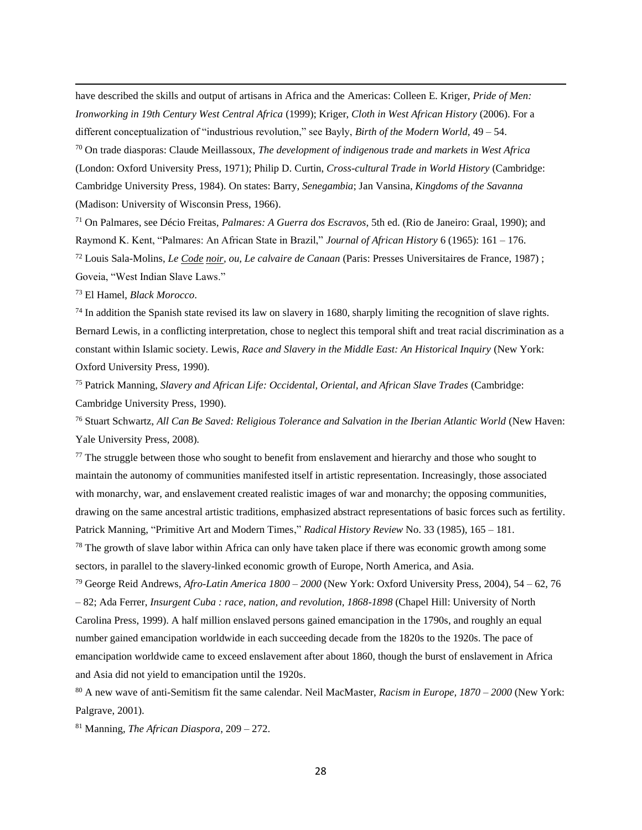have described the skills and output of artisans in Africa and the Americas: Colleen E. Kriger, *Pride of Men: Ironworking in 19th Century West Central Africa* (1999); Kriger, *Cloth in West African History* (2006). For a different conceptualization of "industrious revolution," see Bayly, *Birth of the Modern World,* 49 – 54. <sup>70</sup> On trade diasporas: Claude Meillassoux, *The development of indigenous trade and markets in West Africa* (London: Oxford University Press, 1971); Philip D. Curtin, *Cross-cultural Trade in World History* (Cambridge:

Cambridge University Press, 1984). On states: Barry, *Senegambia*; Jan Vansina, *Kingdoms of the Savanna*  (Madison: University of Wisconsin Press, 1966).

<sup>71</sup> On Palmares, see Décio Freitas, *Palmares: A Guerra dos Escravos*, 5th ed. (Rio de Janeiro: Graal, 1990); and Raymond K. Kent, "Palmares: An African State in Brazil," *Journal of African History* 6 (1965): 161 – 176. <sup>72</sup> Louis Sala-Molins, *Le Code noir, ou, Le calvaire de Canaan* (Paris: Presses Universitaires de France, 1987) ; Goveia, "West Indian Slave Laws."

<sup>73</sup> El Hamel, *Black Morocco*.

 $74$  In addition the Spanish state revised its law on slavery in 1680, sharply limiting the recognition of slave rights. Bernard Lewis, in a conflicting interpretation, chose to neglect this temporal shift and treat racial discrimination as a constant within Islamic society. Lewis, *Race and Slavery in the Middle East: An Historical Inquiry* (New York: Oxford University Press, 1990).

<sup>75</sup> Patrick Manning, *Slavery and African Life: Occidental, Oriental, and African Slave Trades* (Cambridge: Cambridge University Press, 1990).

<sup>76</sup> Stuart Schwartz, *All Can Be Saved: Religious Tolerance and Salvation in the Iberian Atlantic World* (New Haven: Yale University Press, 2008).

<sup>77</sup> The struggle between those who sought to benefit from enslavement and hierarchy and those who sought to maintain the autonomy of communities manifested itself in artistic representation. Increasingly, those associated with monarchy, war, and enslavement created realistic images of war and monarchy; the opposing communities, drawing on the same ancestral artistic traditions, emphasized abstract representations of basic forces such as fertility. Patrick Manning, "Primitive Art and Modern Times," *Radical History Review* No. 33 (1985), 165 – 181.

<sup>78</sup> The growth of slave labor within Africa can only have taken place if there was economic growth among some sectors, in parallel to the slavery-linked economic growth of Europe, North America, and Asia.

<sup>79</sup> George Reid Andrews, *Afro-Latin America 1800 – 2000* (New York: Oxford University Press, 2004), 54 – 62, 76 – 82; Ada Ferrer, *Insurgent Cuba : race, nation, and revolution, 1868-1898* (Chapel Hill: University of North Carolina Press, 1999). A half million enslaved persons gained emancipation in the 1790s, and roughly an equal number gained emancipation worldwide in each succeeding decade from the 1820s to the 1920s. The pace of emancipation worldwide came to exceed enslavement after about 1860, though the burst of enslavement in Africa and Asia did not yield to emancipation until the 1920s.

<sup>80</sup> A new wave of anti-Semitism fit the same calendar. Neil MacMaster, *Racism in Europe, 1870 – 2000* (New York: Palgrave, 2001).

<sup>81</sup> Manning, *The African Diaspora*, 209 – 272.